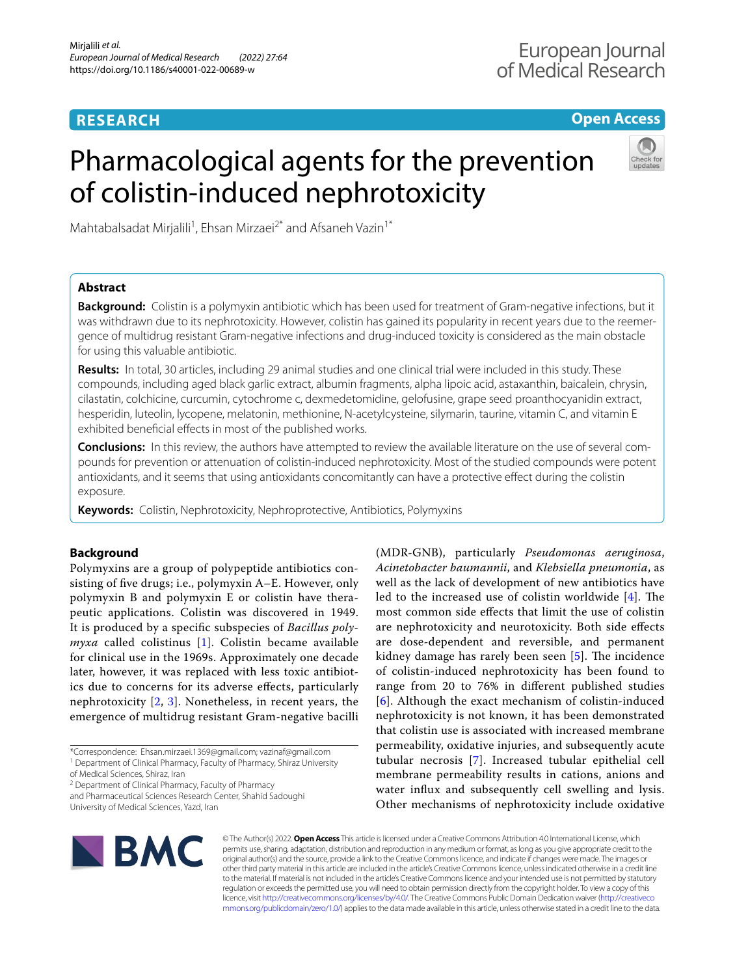# **RESEARCH**

# **Open Access**

# Pharmacological agents for the prevention of colistin-induced nephrotoxicity



Mahtabalsadat Mirjalili<sup>1</sup>, Ehsan Mirzaei<sup>2\*</sup> and Afsaneh Vazin<sup>1\*</sup>

# **Abstract**

**Background:** Colistin is a polymyxin antibiotic which has been used for treatment of Gram-negative infections, but it was withdrawn due to its nephrotoxicity. However, colistin has gained its popularity in recent years due to the reemergence of multidrug resistant Gram-negative infections and drug-induced toxicity is considered as the main obstacle for using this valuable antibiotic.

**Results:** In total, 30 articles, including 29 animal studies and one clinical trial were included in this study. These compounds, including aged black garlic extract, albumin fragments, alpha lipoic acid, astaxanthin, baicalein, chrysin, cilastatin, colchicine, curcumin, cytochrome c, dexmedetomidine, gelofusine, grape seed proanthocyanidin extract, hesperidin, luteolin, lycopene, melatonin, methionine, N-acetylcysteine, silymarin, taurine, vitamin C, and vitamin E exhibited beneficial effects in most of the published works.

**Conclusions:** In this review, the authors have attempted to review the available literature on the use of several compounds for prevention or attenuation of colistin-induced nephrotoxicity. Most of the studied compounds were potent antioxidants, and it seems that using antioxidants concomitantly can have a protective efect during the colistin exposure.

**Keywords:** Colistin, Nephrotoxicity, Nephroprotective, Antibiotics, Polymyxins

# **Background**

Polymyxins are a group of polypeptide antibiotics consisting of fve drugs; i.e., polymyxin A–E. However, only polymyxin B and polymyxin E or colistin have therapeutic applications. Colistin was discovered in 1949. It is produced by a specifc subspecies of *Bacillus polymyxa* called colistinus [[1\]](#page-15-0). Colistin became available for clinical use in the 1969s. Approximately one decade later, however, it was replaced with less toxic antibiotics due to concerns for its adverse efects, particularly nephrotoxicity [\[2](#page-15-1), [3](#page-15-2)]. Nonetheless, in recent years, the emergence of multidrug resistant Gram-negative bacilli

<sup>2</sup> Department of Clinical Pharmacy, Faculty of Pharmacy and Pharmaceutical Sciences Research Center, Shahid Sadoughi

University of Medical Sciences, Yazd, Iran

(MDR-GNB), particularly *Pseudomonas aeruginosa*, *Acinetobacter baumannii*, and *Klebsiella pneumonia*, as well as the lack of development of new antibiotics have led to the increased use of colistin worldwide  $[4]$  $[4]$ . The most common side efects that limit the use of colistin are nephrotoxicity and neurotoxicity. Both side efects are dose-dependent and reversible, and permanent kidney damage has rarely been seen  $[5]$ . The incidence of colistin-induced nephrotoxicity has been found to range from 20 to 76% in diferent published studies [[6](#page-15-5)]. Although the exact mechanism of colistin-induced nephrotoxicity is not known, it has been demonstrated that colistin use is associated with increased membrane permeability, oxidative injuries, and subsequently acute tubular necrosis [\[7](#page-15-6)]. Increased tubular epithelial cell membrane permeability results in cations, anions and water infux and subsequently cell swelling and lysis. Other mechanisms of nephrotoxicity include oxidative



© The Author(s) 2022. **Open Access** This article is licensed under a Creative Commons Attribution 4.0 International License, which permits use, sharing, adaptation, distribution and reproduction in any medium or format, as long as you give appropriate credit to the original author(s) and the source, provide a link to the Creative Commons licence, and indicate if changes were made. The images or other third party material in this article are included in the article's Creative Commons licence, unless indicated otherwise in a credit line to the material. If material is not included in the article's Creative Commons licence and your intended use is not permitted by statutory regulation or exceeds the permitted use, you will need to obtain permission directly from the copyright holder. To view a copy of this licence, visit [http://creativecommons.org/licenses/by/4.0/.](http://creativecommons.org/licenses/by/4.0/) The Creative Commons Public Domain Dedication waiver ([http://creativeco](http://creativecommons.org/publicdomain/zero/1.0/) [mmons.org/publicdomain/zero/1.0/](http://creativecommons.org/publicdomain/zero/1.0/)) applies to the data made available in this article, unless otherwise stated in a credit line to the data.

<sup>\*</sup>Correspondence: Ehsan.mirzaei.1369@gmail.com; vazinaf@gmail.com <sup>1</sup> Department of Clinical Pharmacy, Faculty of Pharmacy, Shiraz University

of Medical Sciences, Shiraz, Iran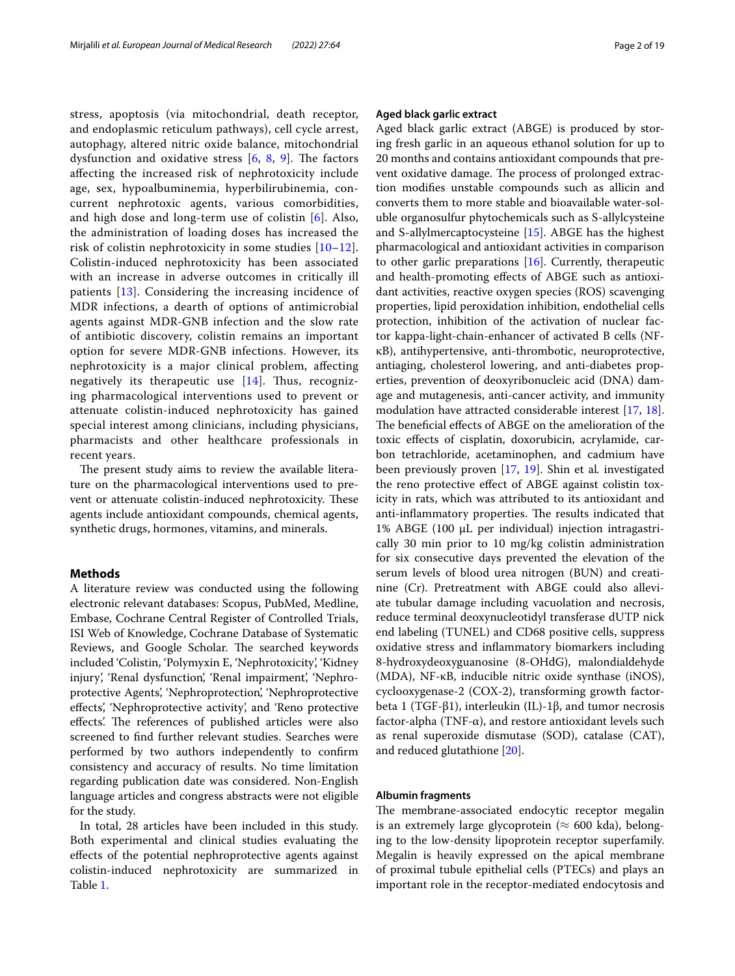stress, apoptosis (via mitochondrial, death receptor, and endoplasmic reticulum pathways), cell cycle arrest, autophagy, altered nitric oxide balance, mitochondrial dysfunction and oxidative stress  $[6, 8, 9]$  $[6, 8, 9]$  $[6, 8, 9]$  $[6, 8, 9]$  $[6, 8, 9]$  $[6, 8, 9]$  $[6, 8, 9]$ . The factors afecting the increased risk of nephrotoxicity include age, sex, hypoalbuminemia, hyperbilirubinemia, concurrent nephrotoxic agents, various comorbidities, and high dose and long-term use of colistin [[6\]](#page-15-5). Also, the administration of loading doses has increased the risk of colistin nephrotoxicity in some studies [[10–](#page-15-9)[12\]](#page-15-10). Colistin-induced nephrotoxicity has been associated with an increase in adverse outcomes in critically ill patients [[13\]](#page-15-11). Considering the increasing incidence of MDR infections, a dearth of options of antimicrobial agents against MDR-GNB infection and the slow rate of antibiotic discovery, colistin remains an important option for severe MDR-GNB infections. However, its nephrotoxicity is a major clinical problem, afecting negatively its therapeutic use  $[14]$ . Thus, recognizing pharmacological interventions used to prevent or attenuate colistin-induced nephrotoxicity has gained special interest among clinicians, including physicians, pharmacists and other healthcare professionals in recent years.

The present study aims to review the available literature on the pharmacological interventions used to prevent or attenuate colistin-induced nephrotoxicity. These agents include antioxidant compounds, chemical agents, synthetic drugs, hormones, vitamins, and minerals.

#### **Methods**

A literature review was conducted using the following electronic relevant databases: Scopus, PubMed, Medline, Embase, Cochrane Central Register of Controlled Trials, ISI Web of Knowledge, Cochrane Database of Systematic Reviews, and Google Scholar. The searched keywords included 'Colistin, 'Polymyxin E, 'Nephrotoxicity', 'Kidney injury', 'Renal dysfunction', 'Renal impairment', 'Nephroprotective Agents', 'Nephroprotection', 'Nephroprotective efects', 'Nephroprotective activity', and 'Reno protective effects'. The references of published articles were also screened to fnd further relevant studies. Searches were performed by two authors independently to confrm consistency and accuracy of results. No time limitation regarding publication date was considered. Non-English language articles and congress abstracts were not eligible for the study.

In total, 28 articles have been included in this study. Both experimental and clinical studies evaluating the efects of the potential nephroprotective agents against colistin-induced nephrotoxicity are summarized in Table [1](#page-2-0).

# **Aged black garlic extract**

Aged black garlic extract (ABGE) is produced by storing fresh garlic in an aqueous ethanol solution for up to 20 months and contains antioxidant compounds that prevent oxidative damage. The process of prolonged extraction modifes unstable compounds such as allicin and converts them to more stable and bioavailable water-soluble organosulfur phytochemicals such as S-allylcysteine and S-allylmercaptocysteine [[15](#page-15-13)]. ABGE has the highest pharmacological and antioxidant activities in comparison to other garlic preparations [[16\]](#page-15-14). Currently, therapeutic and health-promoting efects of ABGE such as antioxidant activities, reactive oxygen species (ROS) scavenging properties, lipid peroxidation inhibition, endothelial cells protection, inhibition of the activation of nuclear factor kappa-light-chain-enhancer of activated B cells (NFκB), antihypertensive, anti-thrombotic, neuroprotective, antiaging, cholesterol lowering, and anti-diabetes properties, prevention of deoxyribonucleic acid (DNA) damage and mutagenesis, anti-cancer activity, and immunity modulation have attracted considerable interest [\[17](#page-15-15), [18](#page-15-16)]. The beneficial effects of ABGE on the amelioration of the toxic efects of cisplatin, doxorubicin, acrylamide, carbon tetrachloride, acetaminophen, and cadmium have been previously proven [\[17,](#page-15-15) [19\]](#page-15-17). Shin et al*.* investigated the reno protective efect of ABGE against colistin toxicity in rats, which was attributed to its antioxidant and anti-inflammatory properties. The results indicated that  $1\%$  ABGE (100 µL per individual) injection intragastrically 30 min prior to 10 mg/kg colistin administration for six consecutive days prevented the elevation of the serum levels of blood urea nitrogen (BUN) and creatinine (Cr). Pretreatment with ABGE could also alleviate tubular damage including vacuolation and necrosis, reduce terminal deoxynucleotidyl transferase dUTP nick end labeling (TUNEL) and CD68 positive cells, suppress oxidative stress and infammatory biomarkers including 8-hydroxydeoxyguanosine (8-OHdG), malondialdehyde (MDA), NF-κB, inducible nitric oxide synthase (iNOS), cyclooxygenase-2 (COX-2), transforming growth factorbeta 1 (TGF-β1), interleukin (IL)-1β, and tumor necrosis factor-alpha (TNF- $\alpha$ ), and restore antioxidant levels such as renal superoxide dismutase (SOD), catalase (CAT), and reduced glutathione [[20\]](#page-15-18).

### **Albumin fragments**

The membrane-associated endocytic receptor megalin is an extremely large glycoprotein ( $\approx$  600 kda), belonging to the low-density lipoprotein receptor superfamily. Megalin is heavily expressed on the apical membrane of proximal tubule epithelial cells (PTECs) and plays an important role in the receptor-mediated endocytosis and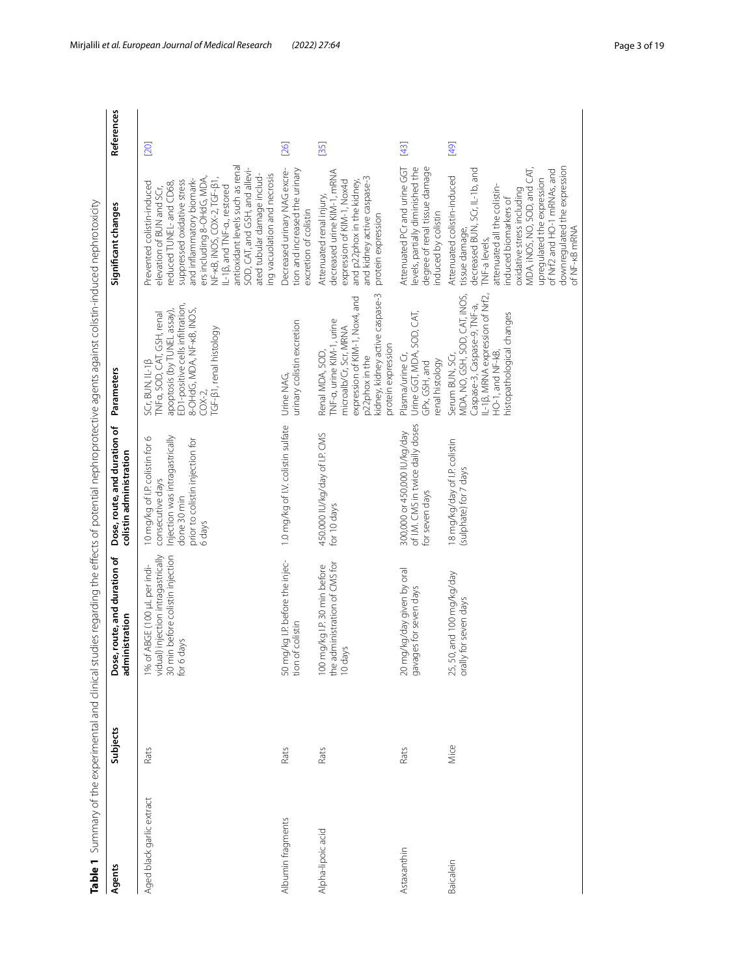<span id="page-2-0"></span>

| I                                                                  |
|--------------------------------------------------------------------|
|                                                                    |
|                                                                    |
| ١<br>ï                                                             |
|                                                                    |
| i                                                                  |
| j                                                                  |
| ١                                                                  |
| ī<br>֖֖֖֖֖֖֧֖֖֧֖֧֧ׅ֧֪֧֚֚֚֚֚֚֚֚֚֚֚֚֚֚֚֚֚֚֚֚֚֚֚֚֡֬֝֝֓֞֝֓֬֓֝֬֓֬֓֞֝֬֝֬ |
|                                                                    |
|                                                                    |
|                                                                    |
| I                                                                  |
| l<br>j                                                             |
|                                                                    |
| ļ                                                                  |
| İ<br>١<br>١                                                        |
| i<br>ÿ<br>$\overline{a}$<br>l                                      |
| i                                                                  |
| Ç                                                                  |
| ¢                                                                  |
| i                                                                  |
| Ì                                                                  |
|                                                                    |
| i                                                                  |
| :<br>:<br>:<br>:<br>:<br>:                                         |
| 1                                                                  |
| ¢                                                                  |
|                                                                    |
| ١                                                                  |
| ç<br>Ì<br>Ò<br>l                                                   |
|                                                                    |
| d<br>ī                                                             |
| ļ                                                                  |
| Ó                                                                  |
| ;                                                                  |
|                                                                    |
|                                                                    |
|                                                                    |
|                                                                    |
| l                                                                  |
| Ì                                                                  |
|                                                                    |
|                                                                    |
| ١                                                                  |
| ļ                                                                  |
| i<br>֚֬֕<br>:                                                      |
| í<br>Ï<br>j<br>١                                                   |
| $\overline{a}$<br>j<br>Ì                                           |
|                                                                    |
| )<br>)<br>֖֧ׅ֧ׅ֧֧֧֧֧֧֧֚֚֚֚֚֚֚֚֚֚֚֚֚֚֚֚֚֚֚֚֚֡֝֘֜֝֬֝֓֝֬֝֓֝֬֝֬<br>י   |
| ī<br>j<br>j                                                        |
|                                                                    |
| $\overline{\phantom{a}}$                                           |
| j<br>j                                                             |
| ļ                                                                  |
|                                                                    |
| $\overline{a}$<br>j                                                |
|                                                                    |
| $\overline{\phantom{a}}$<br>١<br>ī                                 |
| ental                                                              |
|                                                                    |
| í<br>Ξ<br>i                                                        |
|                                                                    |
|                                                                    |
|                                                                    |
|                                                                    |
|                                                                    |
|                                                                    |
|                                                                    |
|                                                                    |
| l                                                                  |
|                                                                    |
|                                                                    |
|                                                                    |
| ļ                                                                  |
|                                                                    |
|                                                                    |
| t                                                                  |
| I                                                                  |
|                                                                    |

| Agents                    | Subjects | Table 1 Summary of the experimental and clinical studies regarding the effects of potential nephrotoprotective agents against colistin-induced nephrotoxicity<br>route, and duration of<br>istration<br>admin<br>Dose, | Dose, route, and duration of<br>colistin administration                                                                                           | Parameters                                                                                                                                                                            | Significant changes                                                                                                                                                                                                                                                                                                                                                           | References |
|---------------------------|----------|------------------------------------------------------------------------------------------------------------------------------------------------------------------------------------------------------------------------|---------------------------------------------------------------------------------------------------------------------------------------------------|---------------------------------------------------------------------------------------------------------------------------------------------------------------------------------------|-------------------------------------------------------------------------------------------------------------------------------------------------------------------------------------------------------------------------------------------------------------------------------------------------------------------------------------------------------------------------------|------------|
| Aged black garlic extract | Rats     | injection intragastrically<br>before colistin injection<br>ABGE (100 µL per indi-<br>for 6 days<br>$1%$ of $A$<br>vidual)<br>30 min                                                                                    | 10 mg/kg of I.P. colistin for 6<br>Injection was intragastrically<br>prior to colistin injection for<br>consecutive days<br>done 30 min<br>6 days | ED1-positive cells infiltration,<br>8-OHdG, MDA, NF-kB, INOS,<br>apoptosis (by TUNEL assay),<br>TNFa, SOD, CAT, GSH, renal<br>TGF-B1, renal histology<br>SCr, BUN, IL-1β<br>$C$ OX-2, | antioxidant levels such as renal<br>SOD, CAT, and GSH, and allevi-<br>ing vacuolation and necrosis<br>ated tubular damage includ-<br>ers including 8-OHdG, MDA,<br>suppressed oxidative stress<br>and inflammatory biomark-<br>NF-KB, iNOS, COX-2, TGF-B1<br>Prevented colistin-induced<br>educed TUNEL- and CD68,<br>L-1B, and TNF-a., restored<br>elevation of BUN and SCr, | [20]       |
| Albumin fragments         | Rats     | 50 mg/kg I.P. before the injec-<br>tion of colistin                                                                                                                                                                    | 1.0 mg/kg of I.V. colistin sulfate                                                                                                                | urinary colistin excretion<br>Urine NAG                                                                                                                                               | tion and increased the urinary<br>Decreased urinary NAG excre-<br>excretion of colistin                                                                                                                                                                                                                                                                                       | [26]       |
| Alpha-lipoic acid         | Rats     | the administration of CMS for<br>100 mg/kg I.P. 30 min before<br>10 days                                                                                                                                               | 450.000 IU/kg/day of I.P. CMS<br>for 10 days                                                                                                      | kidney, kidney active caspase-3<br>expression of KIM-1, Nox4, and<br>TNF-a, urine KIM-1, urine<br>microalb/Cr, Scr, MRNA<br>protein expression<br>Renal MDA, SOD,<br>p22phox in the   | decreased urine KIM-1, mRNA<br>and kidney active caspase-3<br>and p22phox in the kidney,<br>expression of KIM-1, Nox4d<br>Attenuated renal injury<br>protein expression                                                                                                                                                                                                       | [35]       |
| Astaxanthin               | Rats     | 20 mg/kg/day given by oral<br>gavages for seven days                                                                                                                                                                   | of I.M. CMS in twice daily doses<br>300,000 or 450,000 IU/kg/day<br>for seven days                                                                | Urine GGT, MDA, SOD, CAT,<br>Plasma/urine Cr,<br>renal histology<br>GPx, GSH, and                                                                                                     | degree of renal tissue damage<br>levels, partially diminished the<br>Attenuated PCrand urine GGT<br>induced by colistin                                                                                                                                                                                                                                                       | $[43]$     |
| Baicalein                 | Mice     | and 100 mg/kg/day<br>orally for seven days<br>25,50,                                                                                                                                                                   | 18 mg/kg/day of I.P. colistin<br>(sulphate) for 7 days                                                                                            | L-1B, MRNA expression of Nrf2,<br>MDA, NO, GSH, SOD, CAT, INOS,<br>Caspase-3, Caspase-9, TNF-a,<br>nistopathological changes<br>HO-1, and NF-kB,<br>Serum BUN, SCr,                   | downregulated the expression<br>MDA, iNOS, NO, SOD, and CAT,<br>decreased BUN, SCr, IL-1b, and<br>of Nrf2 and HO-1 mRNAs, and<br>Attenuated colistin-induced<br>upregulated the expression<br>attenuated all the colistin-<br>oxidative stress including<br>induced biomarkers of<br>of NF-kB mRNA<br>tissue damage,<br>TNF-a levels,                                         | [49]       |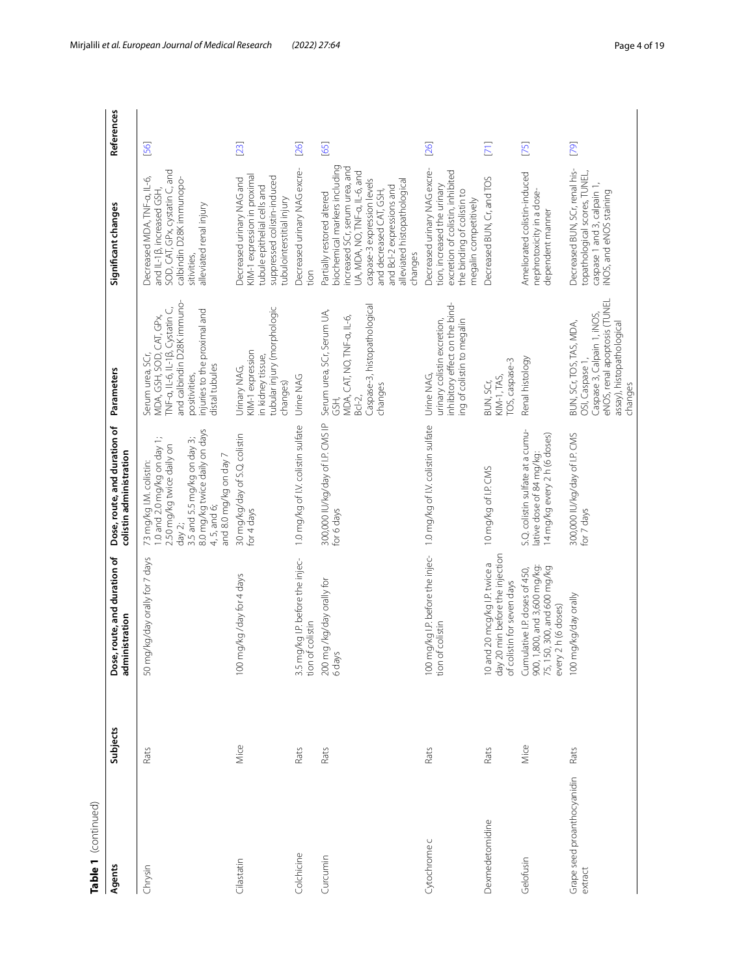| Table 1 (continued)                    |          |                                                                                                                     |                                                                                                                                                                                                         |                                                                                                                                                                                  |                                                                                                                                                                                                                                                                  |            |
|----------------------------------------|----------|---------------------------------------------------------------------------------------------------------------------|---------------------------------------------------------------------------------------------------------------------------------------------------------------------------------------------------------|----------------------------------------------------------------------------------------------------------------------------------------------------------------------------------|------------------------------------------------------------------------------------------------------------------------------------------------------------------------------------------------------------------------------------------------------------------|------------|
| Agents                                 | Subjects | Dose, route, and duration of<br>administration                                                                      | Dose, route, and duration of<br>colistin administration                                                                                                                                                 | Parameters                                                                                                                                                                       | Significant changes                                                                                                                                                                                                                                              | References |
| Chrysin                                | Rats     | 50 mg/kg/day orally for 7 days                                                                                      | 3.5 and 5.5 mg/kg on day 3;<br>8.0 mg/kg twice daily on days<br>1.0 and 2.0 mg/kg on day 1;<br>2.50 mg/kg twice daily on<br>and 8.0 mg/kg on day 7<br>73 mg/kg I.M. colistin:<br>4, 5, and 6;<br>day 2; | and calbindin D28K immuno-<br>TNF-a, IL-6, IL-1β, Cystatin C,<br>injuries to the proximal and<br>Serum urea, SCr,<br>MDA, GSH, SOD, CAT, GPx,<br>distal tubules<br>positivities, | SOD, CAT, GPx, cystatin C, and<br>Decreased MDA, TNF-a, IL-6,<br>calbindin D28K immunopo-<br>and IL-1B, increased GSH,<br>alleviated renal injury<br>sitivities,                                                                                                 | [56]       |
| Cilastatin                             | Mice     | mg/kg/day for 4 days<br>$\overline{100}$                                                                            | 30 mg/kg/day of S.Q. colistin<br>for 4 days                                                                                                                                                             | tubular injury (morphologic<br>KIM-1 expression<br>in kidney tissue,<br>Jrinary NAG,<br>changes)                                                                                 | KIM-1 expression in proximal<br>suppressed colistin-induced<br>Decreased urinary NAG and<br>tubule epithelial cells and<br>tubulointerstitial injury                                                                                                             | [23]       |
| Colchicine                             | Rats     | 3.5 mg/kg I.P. before the injec-<br>tion of colistin                                                                | 1.0 mg/kg of I.V. colistin sulfate                                                                                                                                                                      | Urine NAG                                                                                                                                                                        | Decreased urinary NAG excre-<br>tion                                                                                                                                                                                                                             | [26]       |
| Curcumin                               | Rats     | 200 mg /kg/day orally for<br>6 days                                                                                 | 300,000 IU/kg/day of I.P. CMS IP<br>for 6 days                                                                                                                                                          | Caspase-3, histopathological<br>Serum urea, SCr, Serum UA,<br>MDA, CAT, NO, TNF-a, IL-6,<br>changes<br>$Bcl-2$ ,<br>GSH.                                                         | biochemical markers including<br>increased SCr, serum urea, and<br>UA, MDA, NO, TNF-a, IL-6, and<br>caspase-3 expression levels<br>alleviated histopathological<br>and Bcl-2 expressions and<br>and decreased CAT, GSH,<br>Partially restored altered<br>changes | [65]       |
| Cytochrome c                           | Rats     | 100<br>tion                                                                                                         | mg/kg I.P. before the injec- 1.0 mg/kg of I.V. colistin sulfate<br>of colistin                                                                                                                          | inhibitory effect on the bind-<br>urinary colistin excretion,<br>ng of colistin to megalin<br>Urine NAG,                                                                         | Decreased urinary NAG excre-<br>excretion of colistin, inhibited<br>tion, increased the urinary<br>the binding of colistin to<br>megalin competitively                                                                                                           | [26]       |
| Dexmedetomidine                        | Rats     | day 20 min before the injection<br>of colistin for seven days<br>10 and 20 mcg/kg I.P. twice a                      | 10 mg/kg of I.P. CMS                                                                                                                                                                                    | TOS, caspase-3<br>KIM-1, TAS,<br>BUN, SCr,                                                                                                                                       | Decreased BUN, Cr, and TOS                                                                                                                                                                                                                                       | $[71]$     |
| Gelofusin                              | Mice     | Cumulative I.P. doses of 450,<br>900, 1,800, and 3,600 mg/kg:<br>75, 150, 300, and 600 mg/kg<br>every 2 h (6 doses) | S.Q. colistin sulfate at a cumu-<br>14 mg/kg every 2 h (6 doses)<br>lative dose of 84 mg/kg:                                                                                                            | Renal histology                                                                                                                                                                  | Ameliorated colistin-induced<br>nephrotoxicity in a dose-<br>dependent manner                                                                                                                                                                                    | $[75]$     |
| Grape seed proanthocyanidin<br>extract | Rats     | mg/kg/day orally<br>100                                                                                             | 300,000 IU/kg/day of I.P. CMS<br>for 7 days                                                                                                                                                             | eNOS, renal apoptosis (TUNEL<br>Caspase 3, Calpain 1, iNOS,<br>BUN, SCr, TOS, TAS, MDA,<br>assay), histopathological<br>OSI, Caspase 1,<br>changes                               | Decreased BUN, SCr, renal his-<br>topathological scores, TUNEL,<br>caspase 1 and 3, calpain 1<br>iNOS, and eNOS staining                                                                                                                                         | [79]       |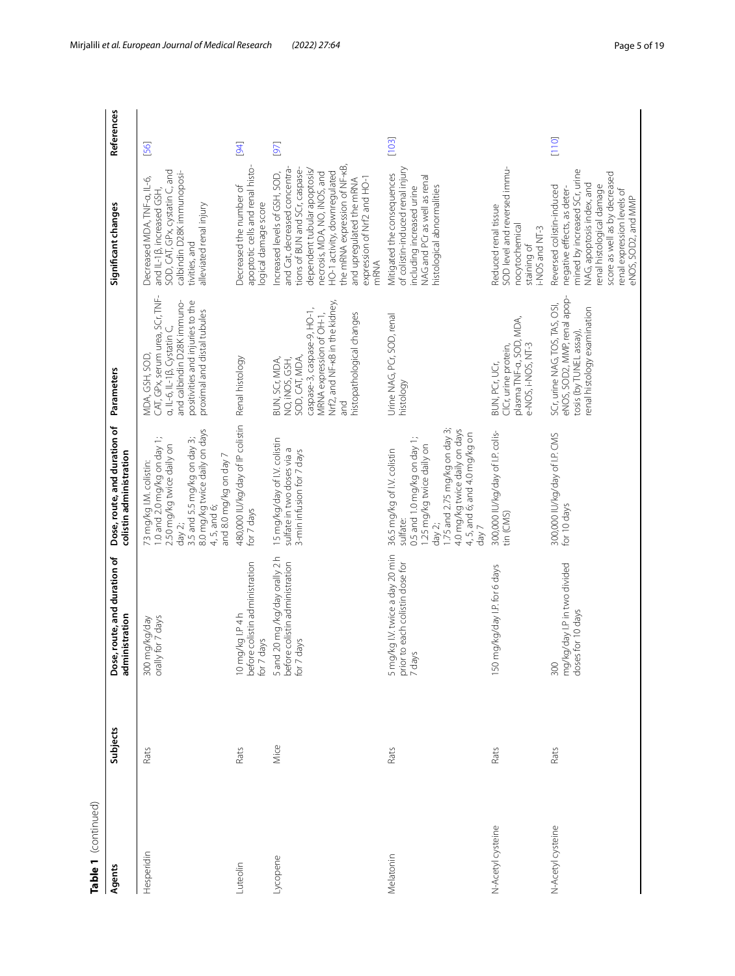| Table 1 (continued) |          |                                                                                |                                                                                                                                                                                                                           |                                                                                                                                                                                     |                                                                                                                                                                                                                                                                                                      |            |
|---------------------|----------|--------------------------------------------------------------------------------|---------------------------------------------------------------------------------------------------------------------------------------------------------------------------------------------------------------------------|-------------------------------------------------------------------------------------------------------------------------------------------------------------------------------------|------------------------------------------------------------------------------------------------------------------------------------------------------------------------------------------------------------------------------------------------------------------------------------------------------|------------|
| Agents              | Subjects | Dose, route, and duration of<br>administration                                 | Dose, route, and duration of<br>colistin administration                                                                                                                                                                   | Parameters                                                                                                                                                                          | Significant changes                                                                                                                                                                                                                                                                                  | References |
| Hesperidin          | Rats     | orally for 7 days<br>300 mg/kg/day                                             | 8.0 mg/kg twice daily on days<br>4, 5, and 6;<br>1.0 and 2.0 mg/kg on day 1;<br>3.5 and 5.5 mg/kg on day 3;<br>2.50 mg/kg twice daily on<br>and 8.0 mg/kg on day 7<br>73 mg/kg I.M. colistin:<br>day $2$ ;                | CAT, GPx, serum urea, SCr, TNF-<br>and calbindin D28K immuno-<br>positivities and injuries to the<br>proximal and distal tubules<br>a, IL-6, IL-1B, Cystatin C,<br>MDA, GSH, SOD,   | SOD, CAT, GPx, cystatin C, and<br>calbindin D28K immunoposi-<br>Decreased MDA, TNF-a, IL-6,<br>and IL-1B, increased GSH,<br>alleviated renal injury<br>tivities, and                                                                                                                                 | [56]       |
| Luteolin            | Rats     | 10 mg/kg I.P 4 h<br>before colistin administration<br>for 7 days               | 480,000 IU/kg/day of IP colistin<br>for 7 days                                                                                                                                                                            | Renal histology                                                                                                                                                                     | apoptotic cells and renal histo-<br>Decreased the number of<br>logical damage score                                                                                                                                                                                                                  | [94]       |
| Lycopene            | Mice     | 5 and 20 mg /kg/day orally 2 h<br>before colistin administration<br>for 7 days | 15 mg/kg/day of I.V. colistin<br>sulfate in two doses via a<br>3-min infusion for 7 days                                                                                                                                  | Nrf2, and NF-kB in the kidney,<br>caspase-3, caspase-9, HO-1,<br>MRNA expression of OH-1,<br>histopathological changes<br>SOD, CAT, MDA,<br>BUN, SCr, MDA,<br>NO, INOS, GSH,<br>and | the mRNA expression of NF-kB,<br>and Cat, decreased concentra-<br>tions of BUN and SCr, caspase-<br>dependent tubular apoptosis/<br>HO-1 activity, downregulated<br>necrosis, MDA, NO, iNOS, and<br>Increased levels of GSH, SOD,<br>expression of Nrf2 and HO-1<br>and upregulated the mRNA<br>mRNA | [97]       |
| Melatonin           | Rats     | 5 mg/kg I.V. twice a day 20 min<br>prior to each colistin dose for<br>7 days   | 1.75 and 2.75 mg/kg on day 3;<br>4.0 mg/kg twice daily on days<br>4, 5, and 6, and 4.0 mg/kg on<br>day 7<br>0.5 and 1.0 mg/kg on day 1;<br>1.25 mg/kg twice daily on<br>36.5 mg/kg of I.V. colistin<br>sulfate:<br>day 2; | Urine NAG, PCr, SOD, renal<br>histology                                                                                                                                             | of colistin-induced renal injury<br>Mitigated the consequences<br>NAG and PCr as well as renal<br>histological abnormalities<br>including increased urine                                                                                                                                            | [103]      |
| N-Acetyl cysteine   | Rats     | 150 mg/kg/day I.P. for 6 days                                                  | 300,000 IU/kg/day of I.P. colis-<br>tin (CMS)                                                                                                                                                                             | plasma TNF-a, SOD, MDA,<br>e-NOS, i-NOS, NT-3<br>CICr, urine protein,<br>BUN, PCr, UCr,                                                                                             | SOD level and reversed immu-<br>Reduced renal tissue<br>nocytochemical<br>i-NOS and NT-3<br>staining of                                                                                                                                                                                              |            |
| N-Acetyl cysteine   | Rats     | mg/kg/day I.P in two divided<br>doses for 10 days<br>300                       | 300,000 IU/kg/day of I.P. CMS<br>for 10 days                                                                                                                                                                              | eNOS, SOD2, MMP, renal apop-<br>SCr, urine NAG, TOS, TAS, OS!<br>renal histology examination<br>tosis (by TUNEL assay),                                                             | mined by increased SCr, urine<br>score as well as by decreased<br>NAG, apoptosis index, and<br>renal histological damage<br>Reversed colistin-induced<br>negative effects, as deter-<br>renal expression levels of<br>eNOS. SOD2. and MMP                                                            | [110]      |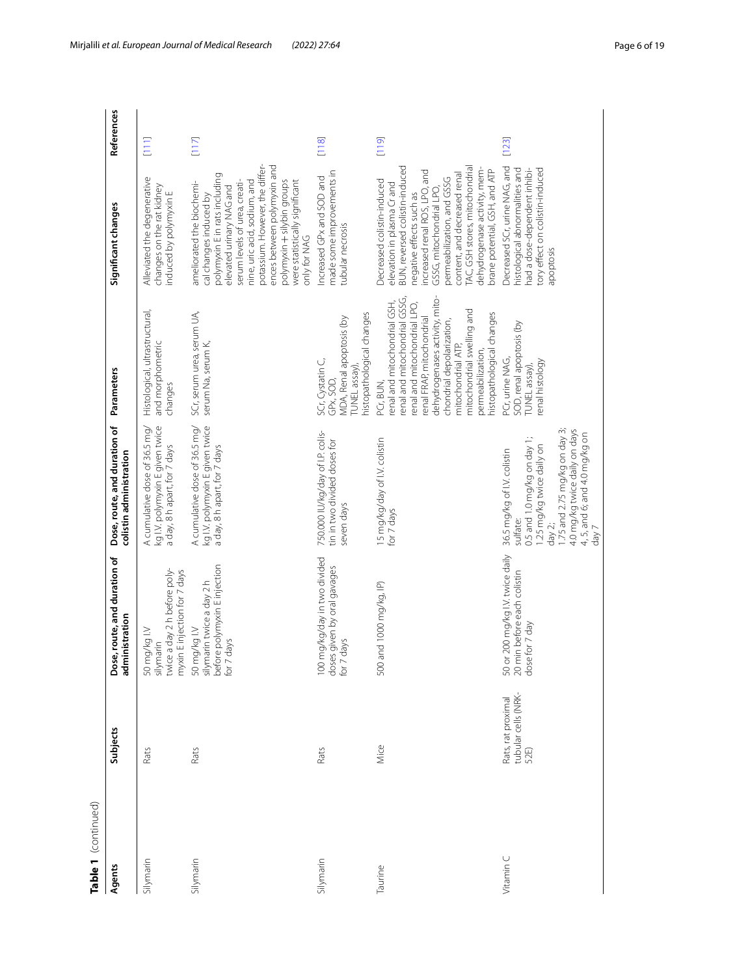| Table 1 (continued) |                                                   |                                                                                            |                                                                                                                                                                                                                             |                                                                                                                                                                                                                                                                                                             |                                                                                                                                                                                                                                                                                                                                                      |            |
|---------------------|---------------------------------------------------|--------------------------------------------------------------------------------------------|-----------------------------------------------------------------------------------------------------------------------------------------------------------------------------------------------------------------------------|-------------------------------------------------------------------------------------------------------------------------------------------------------------------------------------------------------------------------------------------------------------------------------------------------------------|------------------------------------------------------------------------------------------------------------------------------------------------------------------------------------------------------------------------------------------------------------------------------------------------------------------------------------------------------|------------|
| Agents              | Subjects                                          | Dose, route, and duration of<br>administration                                             | Dose, route, and duration of<br>colistin administration                                                                                                                                                                     | Parameters                                                                                                                                                                                                                                                                                                  | Significant changes                                                                                                                                                                                                                                                                                                                                  | References |
| Silymarin           | Rats                                              | twice a day 2 h before poly-<br>myxin E injection for 7 days<br>50 mg/kg I.V<br>silymarin  | A cumulative dose of 36.5 mg/<br>kg IV. polymyxin E given twice<br>a day, 8 h apart, for 7 days                                                                                                                             | Histological, ultrastructural,<br>and morphometric<br>changes                                                                                                                                                                                                                                               | Alleviated the degenerative<br>changes on the rat kidney<br>induced by polymyxin E                                                                                                                                                                                                                                                                   | $[111]$    |
| Silymarin           | Rats                                              | before polymyxin E injection<br>silymarin twice a day 2 h<br>50 mg/kg I.V<br>days<br>for 7 | kg IV. polymyxin E given twice<br>A cumulative dose of 36.5 mg/<br>a day, 8 h apart, for 7 days                                                                                                                             | SCr, serum urea, serum UA,<br>serum Na, serum K,                                                                                                                                                                                                                                                            | potassium. However, the differ-<br>ences between polymyxin and<br>polymyxin E in rats including<br>nine, uric acid, sodium, and<br>polymyxin + silybin groups<br>were statistically significant<br>ameliorated the biochemi-<br>serum levels of urea, creati-<br>elevated urinary NAG and<br>cal changes induced by<br>only for NAG                  | [117]      |
| Silymarin           | Rats                                              | 100 mg/kg/day in two divided<br>doses given by oral gavages<br>for 7 days                  | 750.000 IU/kg/day of I.P. colis-<br>tin in two divided doses for<br>seven days                                                                                                                                              | histopathological changes<br>MDA, Renal apoptosis (by<br>SCr, Cystatin C,<br>[UNEL assay]<br>GPx, SOD,                                                                                                                                                                                                      | made some improvements in<br>Increased GPx and SOD and<br>tubular necrosis                                                                                                                                                                                                                                                                           | [118]      |
| Taurine             | Mice                                              | 500 and 1000 mg/kg, IP)                                                                    | 15 mg/kg/day of I.V. colistin<br>for 7 days                                                                                                                                                                                 | dehydrogenases activity, mito-<br>enal and mitochondrial GSSG,<br>renal and mitochondrial GSH,<br>renal and mitochondrial LPO,<br>mitochondrial swelling and<br>histopathological changes<br>renal FRAP, mitochondrial<br>chondrial depolarization,<br>mitochondrial ATP,<br>oermeabilization,<br>PCr, BUN, | BUN, reversed colistin-induced<br>TAC, GSH stores, mitochondrial<br>dehydrogenase activity, mem-<br>brane potential, GSH, and ATP<br>increased renal ROS, LPO, and<br>content, and decreased renal<br>permeabilization, and GSSG<br>Decreased colistin-induced<br>elevation in plasma Cr and<br>GSSG, mitochondrial LPO,<br>negative effects such as | [119]      |
| Vitamin C           | tubular cells (NRK-<br>52E)<br>Rats, rat proximal | 50 or 200 mg/kg I.V. twice daily<br>20 min before each colistin<br>for 7 day<br>dose       | 1.75 and 2.75 mg/kg on day 3;<br>4.0 mg/kg twice daily on days<br>4, 5, and 6; and 4.0 mg/kg on<br>0.5 and 1.0 mg/kg on day 1;<br>1.25 mg/kg twice daily on<br>36.5 mg/kg of I.V. colistin<br>sulfate:<br>day 2;<br>$7$ Vep | SOD, renal apoptosis (by<br>PCr, urine NAG,<br>enal histology<br>TUNEL assay),                                                                                                                                                                                                                              | Decreased SCr, urine NAG, and<br>tory effect on colistin-induced<br>histological abnormalities and<br>had a dose-dependent inhibi-<br>apoptosis                                                                                                                                                                                                      | [123]      |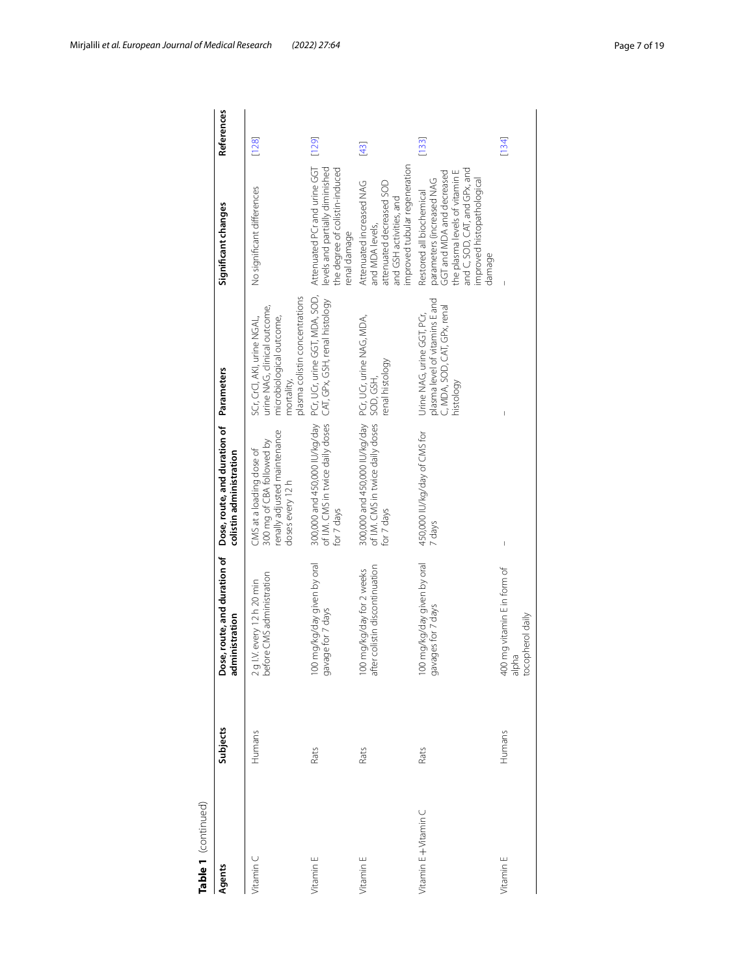| Table 1 (continued) |          |                                                             |                                                                                                           |                                                                                                                                         |                                                                                                                                                                                               |            |
|---------------------|----------|-------------------------------------------------------------|-----------------------------------------------------------------------------------------------------------|-----------------------------------------------------------------------------------------------------------------------------------------|-----------------------------------------------------------------------------------------------------------------------------------------------------------------------------------------------|------------|
| Agents              | Subjects | Dose, route, and duration of<br>administration              | Dose, route, and duration of<br>colistin administration                                                   | Parameters                                                                                                                              | Significant changes                                                                                                                                                                           | References |
| Vitamin C           | Humans   | 2 g I.V. every 12 h 20 min<br>before CMS administration     | renally adjusted maintenance<br>300 mg of CBA followed by<br>CMS at a loading dose of<br>doses every 12 h | plasma colistin concentrations<br>urine NAG, clinical outcome,<br>microbiological outcome,<br>SCr, CrCl, AKI, urine NGAL,<br>mortality, | No significant differences                                                                                                                                                                    | [128]      |
| Vitamin E           | Rats     | loo mg/kg/day given by oral<br>gavage for 7 days            | 300,000 and 450,000 IU/kg/day<br>of I.M. CMS in twice daily doses<br>for 7 days                           | PCr, UCr, urine GGT, MDA, SOD,<br>CAT, GPx, GSH, renal histology                                                                        | Attenuated PCrand urine GGT<br>the degree of colistin-induced<br>levels and partially diminished<br>renal damage                                                                              | [129]      |
| Vitamin E           | Rats     | 100 mg/kg/day for 2 weeks<br>after colistin discontinuation | 300,000 and 450,000 IU/kg/day PCr, UCr, urine NAG, MDA,<br>of I.M. CMS in twice daily doses<br>for 7 days | renal histology<br>SOD, GSH,                                                                                                            | improved tubular regeneration<br>Attenuated increased NAG<br>attenuated decreased SOD<br>and GSH activities, and<br>and MDA levels,                                                           | $[43]$     |
| Vitamin E+Vitamin C | Rats     | 100 mg/kg/day given by oral<br>gavages for 7 days           | 450,000 IU/kg/day of CMS for<br>7 days                                                                    | plasma level of vitamins E and<br>C, MDA, SOD, CAT, GPx, renal<br>Urine NAG, urine GGT, PCr,<br>histology                               | and C, SOD, CAT, and GPx, and<br>the plasma levels of vitamin E<br>GGT and MDA and decreased<br>parameters (increased NAG<br>improved histopathological<br>Restored all biochemical<br>damage | [133]      |
| Vitamin E           | Humans   | 400 mg vitamin E in form of<br>alpha<br>tocopherol daily    | I                                                                                                         |                                                                                                                                         |                                                                                                                                                                                               | [134]      |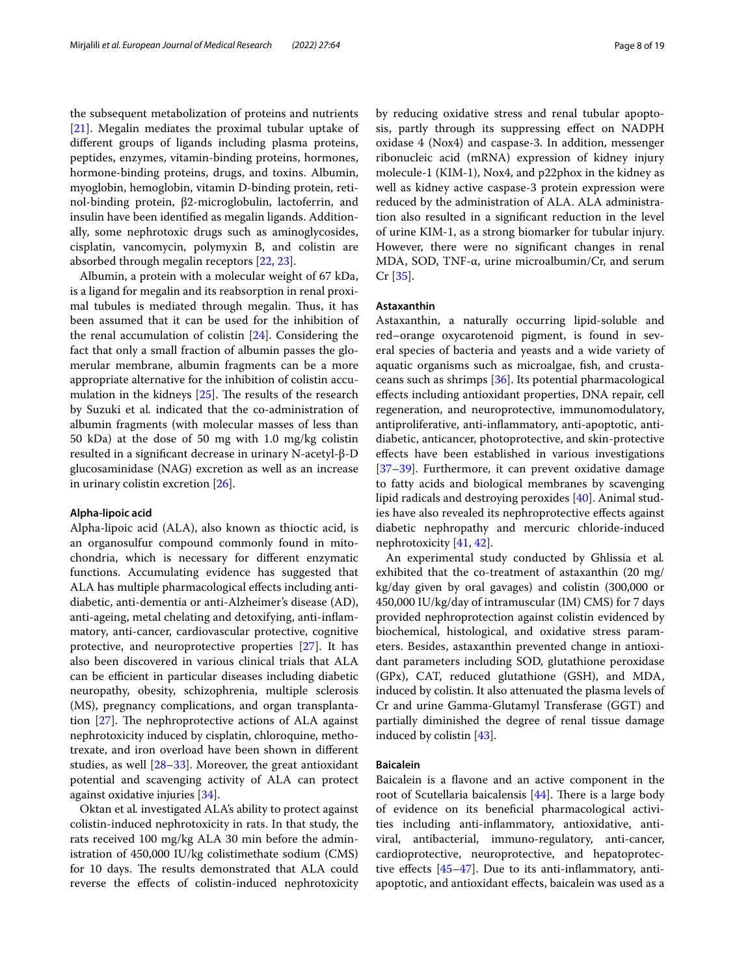the subsequent metabolization of proteins and nutrients [[21\]](#page-15-22). Megalin mediates the proximal tubular uptake of diferent groups of ligands including plasma proteins, peptides, enzymes, vitamin-binding proteins, hormones, hormone-binding proteins, drugs, and toxins. Albumin, myoglobin, hemoglobin, vitamin D-binding protein, retinol-binding protein, β2-microglobulin, lactoferrin, and insulin have been identifed as megalin ligands. Additionally, some nephrotoxic drugs such as aminoglycosides, cisplatin, vancomycin, polymyxin B, and colistin are absorbed through megalin receptors [\[22](#page-15-23), [23\]](#page-15-21).

Albumin, a protein with a molecular weight of 67 kDa, is a ligand for megalin and its reabsorption in renal proximal tubules is mediated through megalin. Thus, it has been assumed that it can be used for the inhibition of the renal accumulation of colistin [[24\]](#page-15-24). Considering the fact that only a small fraction of albumin passes the glomerular membrane, albumin fragments can be a more appropriate alternative for the inhibition of colistin accumulation in the kidneys  $[25]$  $[25]$  $[25]$ . The results of the research by Suzuki et al*.* indicated that the co-administration of albumin fragments (with molecular masses of less than 50 kDa) at the dose of 50 mg with 1.0 mg/kg colistin resulted in a signifcant decrease in urinary N-acetyl-β-D glucosaminidase (NAG) excretion as well as an increase in urinary colistin excretion [[26](#page-15-19)].

#### **Alpha‑lipoic acid**

Alpha-lipoic acid (ALA), also known as thioctic acid, is an organosulfur compound commonly found in mitochondria, which is necessary for diferent enzymatic functions. Accumulating evidence has suggested that ALA has multiple pharmacological efects including antidiabetic, anti-dementia or anti-Alzheimer's disease (AD), anti-ageing, metal chelating and detoxifying, anti-infammatory, anti-cancer, cardiovascular protective, cognitive protective, and neuroprotective properties [\[27](#page-15-26)]. It has also been discovered in various clinical trials that ALA can be efficient in particular diseases including diabetic neuropathy, obesity, schizophrenia, multiple sclerosis (MS), pregnancy complications, and organ transplantation  $[27]$  $[27]$ . The nephroprotective actions of ALA against nephrotoxicity induced by cisplatin, chloroquine, methotrexate, and iron overload have been shown in diferent studies, as well [[28–](#page-15-27)[33\]](#page-15-28). Moreover, the great antioxidant potential and scavenging activity of ALA can protect against oxidative injuries [\[34](#page-15-29)].

Oktan et al*.* investigated ALA's ability to protect against colistin-induced nephrotoxicity in rats. In that study, the rats received 100 mg/kg ALA 30 min before the administration of 450,000 IU/kg colistimethate sodium (CMS) for 10 days. The results demonstrated that ALA could reverse the efects of colistin-induced nephrotoxicity by reducing oxidative stress and renal tubular apoptosis, partly through its suppressing efect on NADPH oxidase 4 (Nox4) and caspase-3. In addition, messenger ribonucleic acid (mRNA) expression of kidney injury molecule-1 (KIM-1), Nox4, and p22phox in the kidney as well as kidney active caspase-3 protein expression were reduced by the administration of ALA. ALA administration also resulted in a signifcant reduction in the level of urine KIM-1, as a strong biomarker for tubular injury. However, there were no signifcant changes in renal MDA, SOD, TNF-α, urine microalbumin/Cr, and serum Cr [[35\]](#page-15-20).

#### **Astaxanthin**

Astaxanthin, a naturally occurring lipid-soluble and red–orange oxycarotenoid pigment, is found in several species of bacteria and yeasts and a wide variety of aquatic organisms such as microalgae, fsh, and crustaceans such as shrimps [[36\]](#page-16-6). Its potential pharmacological efects including antioxidant properties, DNA repair, cell regeneration, and neuroprotective, immunomodulatory, antiproliferative, anti-infammatory, anti-apoptotic, antidiabetic, anticancer, photoprotective, and skin-protective efects have been established in various investigations [[37–](#page-16-7)[39\]](#page-16-8). Furthermore, it can prevent oxidative damage to fatty acids and biological membranes by scavenging lipid radicals and destroying peroxides [\[40](#page-16-9)]. Animal studies have also revealed its nephroprotective efects against diabetic nephropathy and mercuric chloride-induced nephrotoxicity [\[41](#page-16-10), [42](#page-16-11)].

An experimental study conducted by Ghlissia et al*.* exhibited that the co-treatment of astaxanthin (20 mg/ kg/day given by oral gavages) and colistin (300,000 or 450,000 IU/kg/day of intramuscular (IM) CMS) for 7 days provided nephroprotection against colistin evidenced by biochemical, histological, and oxidative stress parameters. Besides, astaxanthin prevented change in antioxidant parameters including SOD, glutathione peroxidase (GPx), CAT, reduced glutathione (GSH), and MDA, induced by colistin. It also attenuated the plasma levels of Cr and urine Gamma-Glutamyl Transferase (GGT) and partially diminished the degree of renal tissue damage induced by colistin [\[43](#page-16-0)].

#### **Baicalein**

Baicalein is a favone and an active component in the root of Scutellaria baicalensis  $[44]$ . There is a large body of evidence on its benefcial pharmacological activities including anti-infammatory, antioxidative, antiviral, antibacterial, immuno-regulatory, anti-cancer, cardioprotective, neuroprotective, and hepatoprotective effects  $[45-47]$  $[45-47]$ . Due to its anti-inflammatory, antiapoptotic, and antioxidant efects, baicalein was used as a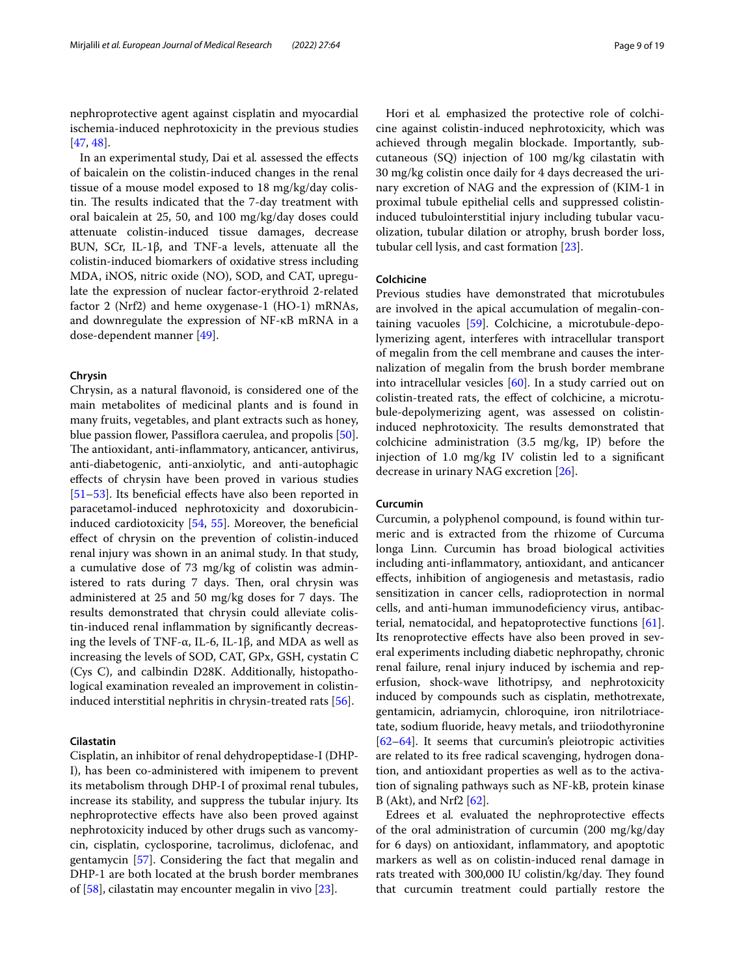nephroprotective agent against cisplatin and myocardial ischemia-induced nephrotoxicity in the previous studies [[47,](#page-16-14) [48](#page-16-15)].

In an experimental study, Dai et al*.* assessed the efects of baicalein on the colistin-induced changes in the renal tissue of a mouse model exposed to 18 mg/kg/day colistin. The results indicated that the 7-day treatment with oral baicalein at 25, 50, and 100 mg/kg/day doses could attenuate colistin-induced tissue damages, decrease BUN, SCr, IL-1β, and TNF-a levels, attenuate all the colistin-induced biomarkers of oxidative stress including MDA, iNOS, nitric oxide (NO), SOD, and CAT, upregulate the expression of nuclear factor-erythroid 2-related factor 2 (Nrf2) and heme oxygenase-1 (HO-1) mRNAs, and downregulate the expression of NF-κB mRNA in a dose-dependent manner [\[49\]](#page-16-1).

#### **Chrysin**

Chrysin, as a natural favonoid, is considered one of the main metabolites of medicinal plants and is found in many fruits, vegetables, and plant extracts such as honey, blue passion flower, Passiflora caerulea, and propolis [\[50](#page-16-16)]. The antioxidant, anti-inflammatory, anticancer, antivirus, anti-diabetogenic, anti-anxiolytic, and anti-autophagic efects of chrysin have been proved in various studies [[51–](#page-16-17)[53](#page-16-18)]. Its beneficial effects have also been reported in paracetamol-induced nephrotoxicity and doxorubicin-induced cardiotoxicity [[54,](#page-16-19) [55\]](#page-16-20). Moreover, the beneficial efect of chrysin on the prevention of colistin-induced renal injury was shown in an animal study. In that study, a cumulative dose of 73 mg/kg of colistin was administered to rats during 7 days. Then, oral chrysin was administered at  $25$  and  $50$  mg/kg doses for  $7$  days. The results demonstrated that chrysin could alleviate colistin-induced renal infammation by signifcantly decreasing the levels of TNF-α, IL-6, IL-1β, and MDA as well as increasing the levels of SOD, CAT, GPx, GSH, cystatin C (Cys C), and calbindin D28K. Additionally, histopathological examination revealed an improvement in colistininduced interstitial nephritis in chrysin-treated rats [[56\]](#page-16-2).

#### **Cilastatin**

Cisplatin, an inhibitor of renal dehydropeptidase-I (DHP-I), has been co-administered with imipenem to prevent its metabolism through DHP-I of proximal renal tubules, increase its stability, and suppress the tubular injury. Its nephroprotective efects have also been proved against nephrotoxicity induced by other drugs such as vancomycin, cisplatin, cyclosporine, tacrolimus, diclofenac, and gentamycin [\[57\]](#page-16-21). Considering the fact that megalin and DHP-1 are both located at the brush border membranes of [\[58](#page-16-22)], cilastatin may encounter megalin in vivo [\[23](#page-15-21)].

Hori et al*.* emphasized the protective role of colchicine against colistin-induced nephrotoxicity, which was achieved through megalin blockade. Importantly, subcutaneous (SQ) injection of 100 mg/kg cilastatin with 30 mg/kg colistin once daily for 4 days decreased the urinary excretion of NAG and the expression of (KIM-1 in proximal tubule epithelial cells and suppressed colistininduced tubulointerstitial injury including tubular vacuolization, tubular dilation or atrophy, brush border loss, tubular cell lysis, and cast formation [[23](#page-15-21)].

#### **Colchicine**

Previous studies have demonstrated that microtubules are involved in the apical accumulation of megalin-containing vacuoles [[59\]](#page-16-23). Colchicine, a microtubule-depolymerizing agent, interferes with intracellular transport of megalin from the cell membrane and causes the internalization of megalin from the brush border membrane into intracellular vesicles [[60](#page-16-24)]. In a study carried out on colistin-treated rats, the efect of colchicine, a microtubule-depolymerizing agent, was assessed on colistininduced nephrotoxicity. The results demonstrated that colchicine administration (3.5 mg/kg, IP) before the injection of 1.0 mg/kg IV colistin led to a signifcant decrease in urinary NAG excretion [\[26\]](#page-15-19).

#### **Curcumin**

Curcumin, a polyphenol compound, is found within turmeric and is extracted from the rhizome of Curcuma longa Linn. Curcumin has broad biological activities including anti-infammatory, antioxidant, and anticancer efects, inhibition of angiogenesis and metastasis, radio sensitization in cancer cells, radioprotection in normal cells, and anti-human immunodefciency virus, antibacterial, nematocidal, and hepatoprotective functions [\[61](#page-16-25)]. Its renoprotective efects have also been proved in several experiments including diabetic nephropathy, chronic renal failure, renal injury induced by ischemia and reperfusion, shock-wave lithotripsy, and nephrotoxicity induced by compounds such as cisplatin, methotrexate, gentamicin, adriamycin, chloroquine, iron nitrilotriacetate, sodium fuoride, heavy metals, and triiodothyronine [[62–](#page-16-26)[64\]](#page-16-27). It seems that curcumin's pleiotropic activities are related to its free radical scavenging, hydrogen donation, and antioxidant properties as well as to the activation of signaling pathways such as NF-kB, protein kinase B (Akt), and Nrf2 [\[62](#page-16-26)].

Edrees et al*.* evaluated the nephroprotective efects of the oral administration of curcumin (200 mg/kg/day for 6 days) on antioxidant, infammatory, and apoptotic markers as well as on colistin-induced renal damage in rats treated with 300,000 IU colistin/kg/day. They found that curcumin treatment could partially restore the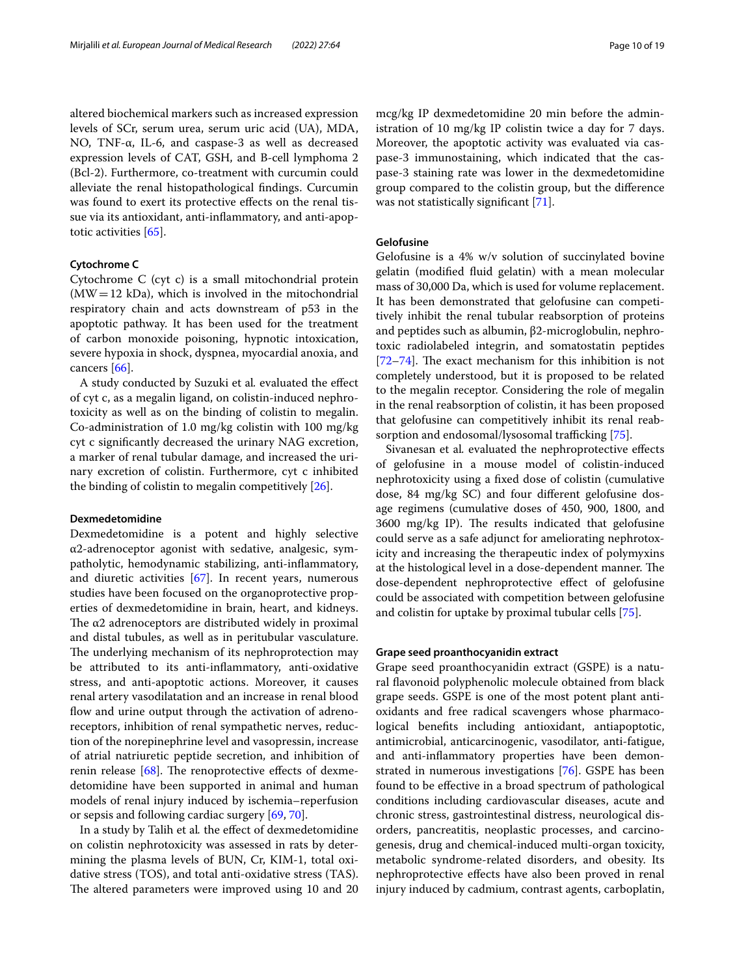altered biochemical markers such as increased expression levels of SCr, serum urea, serum uric acid (UA), MDA, NO, TNF-α, IL-6, and caspase-3 as well as decreased expression levels of CAT, GSH, and B-cell lymphoma 2 (Bcl-2). Furthermore, co-treatment with curcumin could alleviate the renal histopathological fndings. Curcumin was found to exert its protective efects on the renal tissue via its antioxidant, anti-infammatory, and anti-apoptotic activities [\[65](#page-16-3)].

#### **Cytochrome C**

Cytochrome C (cyt c) is a small mitochondrial protein  $(MW=12$  kDa), which is involved in the mitochondrial respiratory chain and acts downstream of p53 in the apoptotic pathway. It has been used for the treatment of carbon monoxide poisoning, hypnotic intoxication, severe hypoxia in shock, dyspnea, myocardial anoxia, and cancers [[66\]](#page-16-28).

A study conducted by Suzuki et al*.* evaluated the efect of cyt c, as a megalin ligand, on colistin-induced nephrotoxicity as well as on the binding of colistin to megalin. Co-administration of 1.0 mg/kg colistin with 100 mg/kg cyt c signifcantly decreased the urinary NAG excretion, a marker of renal tubular damage, and increased the urinary excretion of colistin. Furthermore, cyt c inhibited the binding of colistin to megalin competitively [[26](#page-15-19)].

#### **Dexmedetomidine**

Dexmedetomidine is a potent and highly selective α2-adrenoceptor agonist with sedative, analgesic, sympatholytic, hemodynamic stabilizing, anti-infammatory, and diuretic activities [\[67](#page-16-29)]. In recent years, numerous studies have been focused on the organoprotective properties of dexmedetomidine in brain, heart, and kidneys. The  $\alpha$ 2 adrenoceptors are distributed widely in proximal and distal tubules, as well as in peritubular vasculature. The underlying mechanism of its nephroprotection may be attributed to its anti-infammatory, anti-oxidative stress, and anti-apoptotic actions. Moreover, it causes renal artery vasodilatation and an increase in renal blood flow and urine output through the activation of adrenoreceptors, inhibition of renal sympathetic nerves, reduction of the norepinephrine level and vasopressin, increase of atrial natriuretic peptide secretion, and inhibition of renin release  $[68]$  $[68]$ . The renoprotective effects of dexmedetomidine have been supported in animal and human models of renal injury induced by ischemia–reperfusion or sepsis and following cardiac surgery [[69,](#page-16-31) [70](#page-16-32)].

In a study by Talih et al*.* the efect of dexmedetomidine on colistin nephrotoxicity was assessed in rats by determining the plasma levels of BUN, Cr, KIM-1, total oxidative stress (TOS), and total anti-oxidative stress (TAS). The altered parameters were improved using 10 and 20 mcg/kg IP dexmedetomidine 20 min before the administration of 10 mg/kg IP colistin twice a day for 7 days. Moreover, the apoptotic activity was evaluated via caspase-3 immunostaining, which indicated that the caspase-3 staining rate was lower in the dexmedetomidine group compared to the colistin group, but the diference was not statistically significant [\[71](#page-16-4)].

## **Gelofusine**

Gelofusine is a 4% w/v solution of succinylated bovine gelatin (modifed fuid gelatin) with a mean molecular mass of 30,000 Da, which is used for volume replacement. It has been demonstrated that gelofusine can competitively inhibit the renal tubular reabsorption of proteins and peptides such as albumin, β2-microglobulin, nephrotoxic radiolabeled integrin, and somatostatin peptides [ $72-74$ ]. The exact mechanism for this inhibition is not completely understood, but it is proposed to be related to the megalin receptor. Considering the role of megalin in the renal reabsorption of colistin, it has been proposed that gelofusine can competitively inhibit its renal reab-sorption and endosomal/lysosomal trafficking [\[75](#page-16-5)].

Sivanesan et al*.* evaluated the nephroprotective efects of gelofusine in a mouse model of colistin-induced nephrotoxicity using a fxed dose of colistin (cumulative dose, 84 mg/kg SC) and four diferent gelofusine dosage regimens (cumulative doses of 450, 900, 1800, and  $3600 \text{ mg/kg}$  IP). The results indicated that gelofusine could serve as a safe adjunct for ameliorating nephrotoxicity and increasing the therapeutic index of polymyxins at the histological level in a dose-dependent manner. The dose-dependent nephroprotective efect of gelofusine could be associated with competition between gelofusine and colistin for uptake by proximal tubular cells [[75](#page-16-5)].

#### **Grape seed proanthocyanidin extract**

Grape seed proanthocyanidin extract (GSPE) is a natural favonoid polyphenolic molecule obtained from black grape seeds. GSPE is one of the most potent plant antioxidants and free radical scavengers whose pharmacological benefts including antioxidant, antiapoptotic, antimicrobial, anticarcinogenic, vasodilator, anti-fatigue, and anti-infammatory properties have been demonstrated in numerous investigations [[76\]](#page-16-35). GSPE has been found to be efective in a broad spectrum of pathological conditions including cardiovascular diseases, acute and chronic stress, gastrointestinal distress, neurological disorders, pancreatitis, neoplastic processes, and carcinogenesis, drug and chemical-induced multi-organ toxicity, metabolic syndrome-related disorders, and obesity. Its nephroprotective efects have also been proved in renal injury induced by cadmium, contrast agents, carboplatin,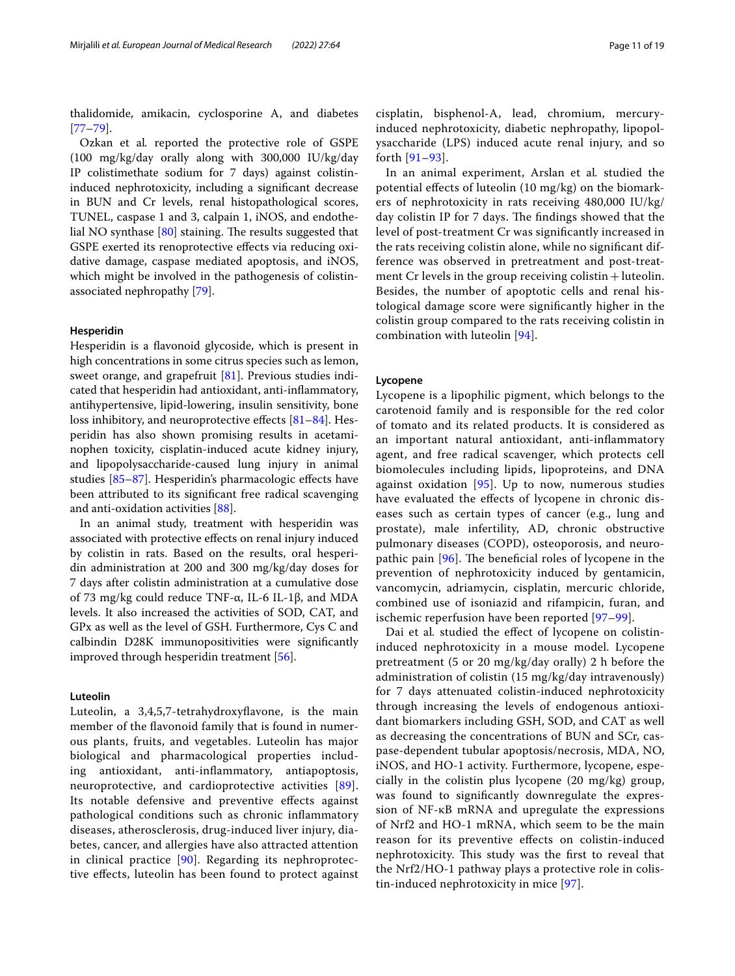thalidomide, amikacin, cyclosporine A, and diabetes [[77–](#page-16-36)[79](#page-17-0)].

Ozkan et al*.* reported the protective role of GSPE (100 mg/kg/day orally along with 300,000 IU/kg/day IP colistimethate sodium for 7 days) against colistininduced nephrotoxicity, including a signifcant decrease in BUN and Cr levels, renal histopathological scores, TUNEL, caspase 1 and 3, calpain 1, iNOS, and endothelial NO synthase  $[80]$  $[80]$  staining. The results suggested that GSPE exerted its renoprotective efects via reducing oxidative damage, caspase mediated apoptosis, and iNOS, which might be involved in the pathogenesis of colistinassociated nephropathy [[79\]](#page-17-0).

#### **Hesperidin**

Hesperidin is a favonoid glycoside, which is present in high concentrations in some citrus species such as lemon, sweet orange, and grapefruit [\[81\]](#page-17-11). Previous studies indicated that hesperidin had antioxidant, anti-infammatory, antihypertensive, lipid-lowering, insulin sensitivity, bone loss inhibitory, and neuroprotective effects [\[81](#page-17-11)[–84](#page-17-12)]. Hesperidin has also shown promising results in acetaminophen toxicity, cisplatin-induced acute kidney injury, and lipopolysaccharide-caused lung injury in animal studies [\[85](#page-17-13)[–87](#page-17-14)]. Hesperidin's pharmacologic efects have been attributed to its signifcant free radical scavenging and anti-oxidation activities [\[88](#page-17-15)].

In an animal study, treatment with hesperidin was associated with protective efects on renal injury induced by colistin in rats. Based on the results, oral hesperidin administration at 200 and 300 mg/kg/day doses for 7 days after colistin administration at a cumulative dose of 73 mg/kg could reduce TNF-α, IL-6 IL-1β, and MDA levels. It also increased the activities of SOD, CAT, and GPx as well as the level of GSH. Furthermore, Cys C and calbindin D28K immunopositivities were signifcantly improved through hesperidin treatment [\[56\]](#page-16-2).

#### **Luteolin**

Luteolin, a 3,4,5,7-tetrahydroxyfavone, is the main member of the favonoid family that is found in numerous plants, fruits, and vegetables. Luteolin has major biological and pharmacological properties including antioxidant, anti-infammatory, antiapoptosis, neuroprotective, and cardioprotective activities [[89\]](#page-17-16). Its notable defensive and preventive efects against pathological conditions such as chronic infammatory diseases, atherosclerosis, drug-induced liver injury, diabetes, cancer, and allergies have also attracted attention in clinical practice [[90\]](#page-17-17). Regarding its nephroprotective efects, luteolin has been found to protect against

cisplatin, bisphenol-A, lead, chromium, mercuryinduced nephrotoxicity, diabetic nephropathy, lipopolysaccharide (LPS) induced acute renal injury, and so forth [[91–](#page-17-18)[93\]](#page-17-19).

In an animal experiment, Arslan et al*.* studied the potential efects of luteolin (10 mg/kg) on the biomarkers of nephrotoxicity in rats receiving 480,000 IU/kg/ day colistin IP for 7 days. The findings showed that the level of post-treatment Cr was signifcantly increased in the rats receiving colistin alone, while no signifcant difference was observed in pretreatment and post-treatment  $Cr$  levels in the group receiving colistin  $+$  luteolin. Besides, the number of apoptotic cells and renal histological damage score were signifcantly higher in the colistin group compared to the rats receiving colistin in combination with luteolin [[94](#page-17-1)].

#### **Lycopene**

Lycopene is a lipophilic pigment, which belongs to the carotenoid family and is responsible for the red color of tomato and its related products. It is considered as an important natural antioxidant, anti-infammatory agent, and free radical scavenger, which protects cell biomolecules including lipids, lipoproteins, and DNA against oxidation [[95\]](#page-17-20). Up to now, numerous studies have evaluated the efects of lycopene in chronic diseases such as certain types of cancer (e.g., lung and prostate), male infertility, AD, chronic obstructive pulmonary diseases (COPD), osteoporosis, and neuropathic pain  $[96]$ . The beneficial roles of lycopene in the prevention of nephrotoxicity induced by gentamicin, vancomycin, adriamycin, cisplatin, mercuric chloride, combined use of isoniazid and rifampicin, furan, and ischemic reperfusion have been reported [[97–](#page-17-2)[99\]](#page-17-22).

Dai et al*.* studied the efect of lycopene on colistininduced nephrotoxicity in a mouse model. Lycopene pretreatment (5 or 20 mg/kg/day orally) 2 h before the administration of colistin (15 mg/kg/day intravenously) for 7 days attenuated colistin-induced nephrotoxicity through increasing the levels of endogenous antioxidant biomarkers including GSH, SOD, and CAT as well as decreasing the concentrations of BUN and SCr, caspase-dependent tubular apoptosis/necrosis, MDA, NO, iNOS, and HO-1 activity. Furthermore, lycopene, especially in the colistin plus lycopene (20 mg/kg) group, was found to signifcantly downregulate the expression of NF-κB mRNA and upregulate the expressions of Nrf2 and HO-1 mRNA, which seem to be the main reason for its preventive efects on colistin-induced nephrotoxicity. This study was the first to reveal that the Nrf2/HO-1 pathway plays a protective role in colistin-induced nephrotoxicity in mice [[97\]](#page-17-2).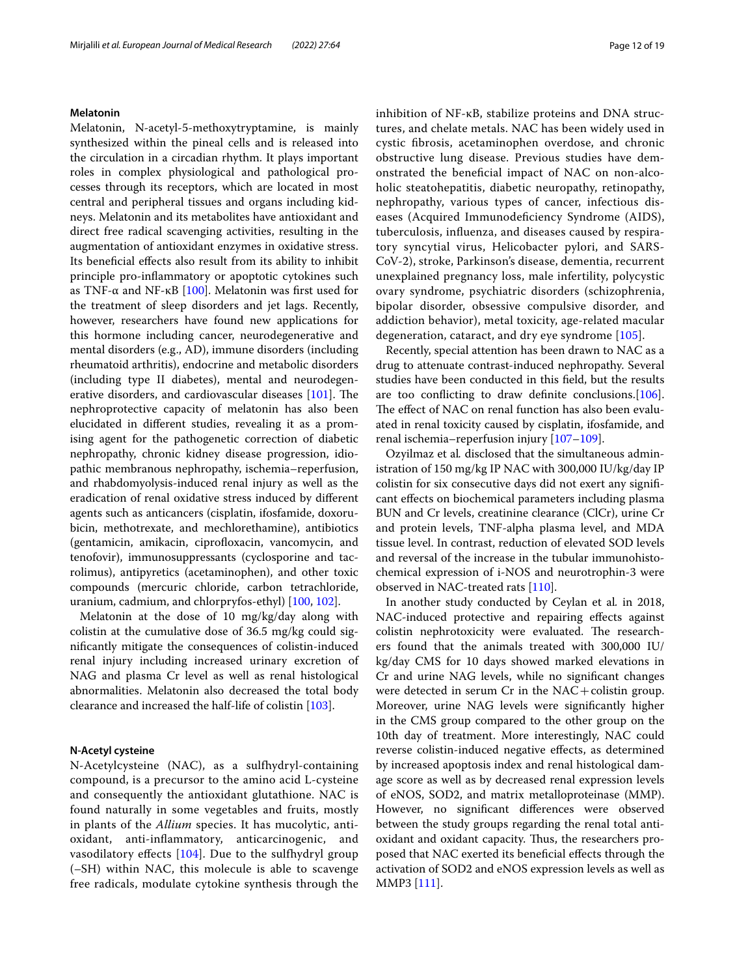#### **Melatonin**

Melatonin, N-acetyl-5-methoxytryptamine, is mainly synthesized within the pineal cells and is released into the circulation in a circadian rhythm. It plays important roles in complex physiological and pathological processes through its receptors, which are located in most central and peripheral tissues and organs including kidneys. Melatonin and its metabolites have antioxidant and direct free radical scavenging activities, resulting in the augmentation of antioxidant enzymes in oxidative stress. Its beneficial effects also result from its ability to inhibit principle pro-infammatory or apoptotic cytokines such as TNF- $\alpha$  and NF-κB [[100\]](#page-17-23). Melatonin was first used for the treatment of sleep disorders and jet lags. Recently, however, researchers have found new applications for this hormone including cancer, neurodegenerative and mental disorders (e.g., AD), immune disorders (including rheumatoid arthritis), endocrine and metabolic disorders (including type II diabetes), mental and neurodegenerative disorders, and cardiovascular diseases  $[101]$  $[101]$  $[101]$ . The nephroprotective capacity of melatonin has also been elucidated in diferent studies, revealing it as a promising agent for the pathogenetic correction of diabetic nephropathy, chronic kidney disease progression, idiopathic membranous nephropathy, ischemia–reperfusion, and rhabdomyolysis-induced renal injury as well as the eradication of renal oxidative stress induced by diferent agents such as anticancers (cisplatin, ifosfamide, doxorubicin, methotrexate, and mechlorethamine), antibiotics (gentamicin, amikacin, ciprofloxacin, vancomycin, and tenofovir), immunosuppressants (cyclosporine and tacrolimus), antipyretics (acetaminophen), and other toxic compounds (mercuric chloride, carbon tetrachloride, uranium, cadmium, and chlorpryfos-ethyl) [[100,](#page-17-23) [102\]](#page-17-25).

Melatonin at the dose of 10 mg/kg/day along with colistin at the cumulative dose of 36.5 mg/kg could signifcantly mitigate the consequences of colistin-induced renal injury including increased urinary excretion of NAG and plasma Cr level as well as renal histological abnormalities. Melatonin also decreased the total body clearance and increased the half-life of colistin [\[103](#page-17-3)].

#### **N‑Acetyl cysteine**

N-Acetylcysteine (NAC), as a sulfhydryl-containing compound, is a precursor to the amino acid L-cysteine and consequently the antioxidant glutathione. NAC is found naturally in some vegetables and fruits, mostly in plants of the *Allium* species. It has mucolytic, antioxidant, anti-infammatory, anticarcinogenic, and vasodilatory efects [[104](#page-17-26)]. Due to the sulfhydryl group (–SH) within NAC, this molecule is able to scavenge free radicals, modulate cytokine synthesis through the inhibition of NF-κB, stabilize proteins and DNA structures, and chelate metals. NAC has been widely used in cystic fbrosis, acetaminophen overdose, and chronic obstructive lung disease. Previous studies have demonstrated the beneficial impact of NAC on non-alcoholic steatohepatitis, diabetic neuropathy, retinopathy, nephropathy, various types of cancer, infectious diseases (Acquired Immunodefciency Syndrome (AIDS), tuberculosis, infuenza, and diseases caused by respiratory syncytial virus, Helicobacter pylori, and SARS-CoV-2), stroke, Parkinson's disease, dementia, recurrent unexplained pregnancy loss, male infertility, polycystic ovary syndrome, psychiatric disorders (schizophrenia, bipolar disorder, obsessive compulsive disorder, and addiction behavior), metal toxicity, age-related macular degeneration, cataract, and dry eye syndrome [[105](#page-17-27)].

Recently, special attention has been drawn to NAC as a drug to attenuate contrast-induced nephropathy. Several studies have been conducted in this feld, but the results are too conficting to draw defnite conclusions.[\[106](#page-17-28)]. The effect of NAC on renal function has also been evaluated in renal toxicity caused by cisplatin, ifosfamide, and renal ischemia–reperfusion injury [\[107–](#page-17-29)[109\]](#page-17-30).

Ozyilmaz et al*.* disclosed that the simultaneous administration of 150 mg/kg IP NAC with 300,000 IU/kg/day IP colistin for six consecutive days did not exert any signifcant efects on biochemical parameters including plasma BUN and Cr levels, creatinine clearance (ClCr), urine Cr and protein levels, TNF-alpha plasma level, and MDA tissue level. In contrast, reduction of elevated SOD levels and reversal of the increase in the tubular immunohistochemical expression of i-NOS and neurotrophin-3 were observed in NAC-treated rats [\[110](#page-17-4)].

In another study conducted by Ceylan et al*.* in 2018, NAC-induced protective and repairing efects against colistin nephrotoxicity were evaluated. The researchers found that the animals treated with 300,000 IU/ kg/day CMS for 10 days showed marked elevations in Cr and urine NAG levels, while no signifcant changes were detected in serum  $Cr$  in the  $NAC + colistin$  group. Moreover, urine NAG levels were signifcantly higher in the CMS group compared to the other group on the 10th day of treatment. More interestingly, NAC could reverse colistin-induced negative efects, as determined by increased apoptosis index and renal histological damage score as well as by decreased renal expression levels of eNOS, SOD2, and matrix metalloproteinase (MMP). However, no signifcant diferences were observed between the study groups regarding the renal total antioxidant and oxidant capacity. Thus, the researchers proposed that NAC exerted its benefcial efects through the activation of SOD2 and eNOS expression levels as well as MMP3 [[111\]](#page-17-5).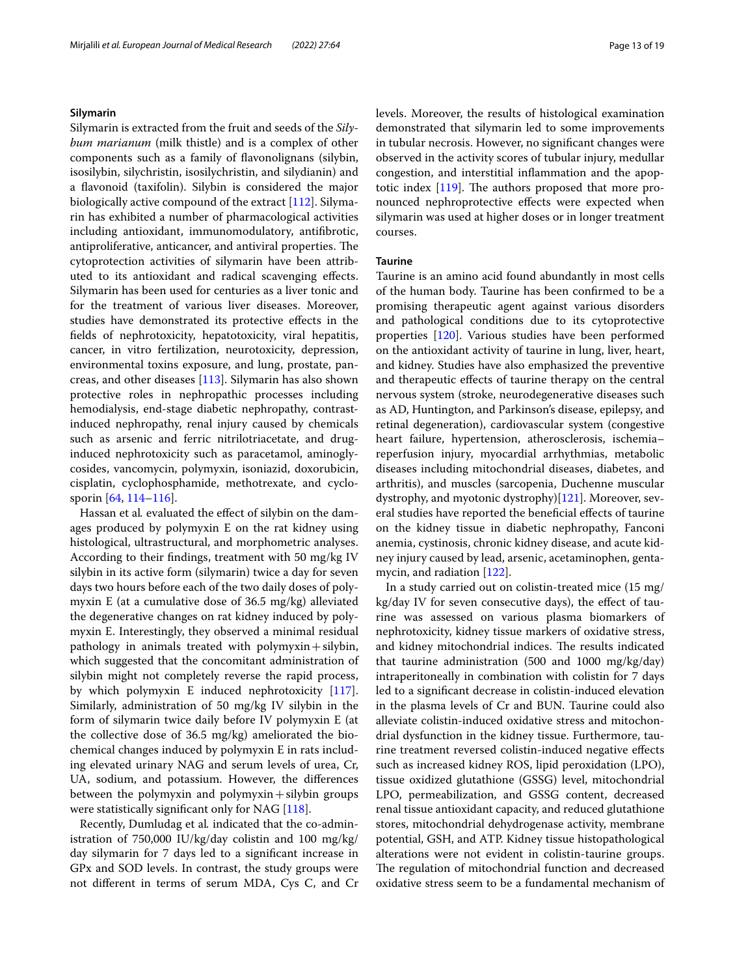#### **Silymarin**

Silymarin is extracted from the fruit and seeds of the *Silybum marianum* (milk thistle) and is a complex of other components such as a family of favonolignans (silybin, isosilybin, silychristin, isosilychristin, and silydianin) and a favonoid (taxifolin). Silybin is considered the major biologically active compound of the extract [\[112\]](#page-17-31). Silymarin has exhibited a number of pharmacological activities including antioxidant, immunomodulatory, antifbrotic, antiproliferative, anticancer, and antiviral properties. The cytoprotection activities of silymarin have been attributed to its antioxidant and radical scavenging efects. Silymarin has been used for centuries as a liver tonic and for the treatment of various liver diseases. Moreover, studies have demonstrated its protective efects in the felds of nephrotoxicity, hepatotoxicity, viral hepatitis, cancer, in vitro fertilization, neurotoxicity, depression, environmental toxins exposure, and lung, prostate, pancreas, and other diseases [\[113\]](#page-17-32). Silymarin has also shown protective roles in nephropathic processes including hemodialysis, end-stage diabetic nephropathy, contrastinduced nephropathy, renal injury caused by chemicals such as arsenic and ferric nitrilotriacetate, and druginduced nephrotoxicity such as paracetamol, aminoglycosides, vancomycin, polymyxin, isoniazid, doxorubicin, cisplatin, cyclophosphamide, methotrexate, and cyclosporin [\[64](#page-16-27), [114–](#page-17-33)[116](#page-17-34)].

Hassan et al. evaluated the effect of silybin on the damages produced by polymyxin E on the rat kidney using histological, ultrastructural, and morphometric analyses. According to their fndings, treatment with 50 mg/kg IV silybin in its active form (silymarin) twice a day for seven days two hours before each of the two daily doses of polymyxin E (at a cumulative dose of 36.5 mg/kg) alleviated the degenerative changes on rat kidney induced by polymyxin E. Interestingly, they observed a minimal residual pathology in animals treated with  $polymyzin+silybin$ , which suggested that the concomitant administration of silybin might not completely reverse the rapid process, by which polymyxin E induced nephrotoxicity [\[117](#page-17-6)]. Similarly, administration of 50 mg/kg IV silybin in the form of silymarin twice daily before IV polymyxin E (at the collective dose of 36.5 mg/kg) ameliorated the biochemical changes induced by polymyxin E in rats including elevated urinary NAG and serum levels of urea, Cr, UA, sodium, and potassium. However, the diferences between the polymyxin and polymyxin  $+$  silybin groups were statistically significant only for NAG [\[118](#page-17-7)].

Recently, Dumludag et al*.* indicated that the co-administration of 750,000 IU/kg/day colistin and 100 mg/kg/ day silymarin for 7 days led to a signifcant increase in GPx and SOD levels. In contrast, the study groups were not diferent in terms of serum MDA, Cys C, and Cr

levels. Moreover, the results of histological examination demonstrated that silymarin led to some improvements in tubular necrosis. However, no signifcant changes were observed in the activity scores of tubular injury, medullar congestion, and interstitial infammation and the apoptotic index  $[119]$  $[119]$ . The authors proposed that more pronounced nephroprotective efects were expected when silymarin was used at higher doses or in longer treatment courses.

#### **Taurine**

Taurine is an amino acid found abundantly in most cells of the human body. Taurine has been confrmed to be a promising therapeutic agent against various disorders and pathological conditions due to its cytoprotective properties [\[120](#page-17-35)]. Various studies have been performed on the antioxidant activity of taurine in lung, liver, heart, and kidney. Studies have also emphasized the preventive and therapeutic efects of taurine therapy on the central nervous system (stroke, neurodegenerative diseases such as AD, Huntington, and Parkinson's disease, epilepsy, and retinal degeneration), cardiovascular system (congestive heart failure, hypertension, atherosclerosis, ischemia– reperfusion injury, myocardial arrhythmias, metabolic diseases including mitochondrial diseases, diabetes, and arthritis), and muscles (sarcopenia, Duchenne muscular dystrophy, and myotonic dystrophy)[\[121\]](#page-17-36). Moreover, several studies have reported the benefcial efects of taurine on the kidney tissue in diabetic nephropathy, Fanconi anemia, cystinosis, chronic kidney disease, and acute kidney injury caused by lead, arsenic, acetaminophen, gentamycin, and radiation [\[122](#page-17-37)].

In a study carried out on colistin-treated mice (15 mg/ kg/day IV for seven consecutive days), the effect of taurine was assessed on various plasma biomarkers of nephrotoxicity, kidney tissue markers of oxidative stress, and kidney mitochondrial indices. The results indicated that taurine administration (500 and 1000 mg/kg/day) intraperitoneally in combination with colistin for 7 days led to a signifcant decrease in colistin-induced elevation in the plasma levels of Cr and BUN. Taurine could also alleviate colistin-induced oxidative stress and mitochondrial dysfunction in the kidney tissue. Furthermore, taurine treatment reversed colistin-induced negative efects such as increased kidney ROS, lipid peroxidation (LPO), tissue oxidized glutathione (GSSG) level, mitochondrial LPO, permeabilization, and GSSG content, decreased renal tissue antioxidant capacity, and reduced glutathione stores, mitochondrial dehydrogenase activity, membrane potential, GSH, and ATP. Kidney tissue histopathological alterations were not evident in colistin-taurine groups. The regulation of mitochondrial function and decreased oxidative stress seem to be a fundamental mechanism of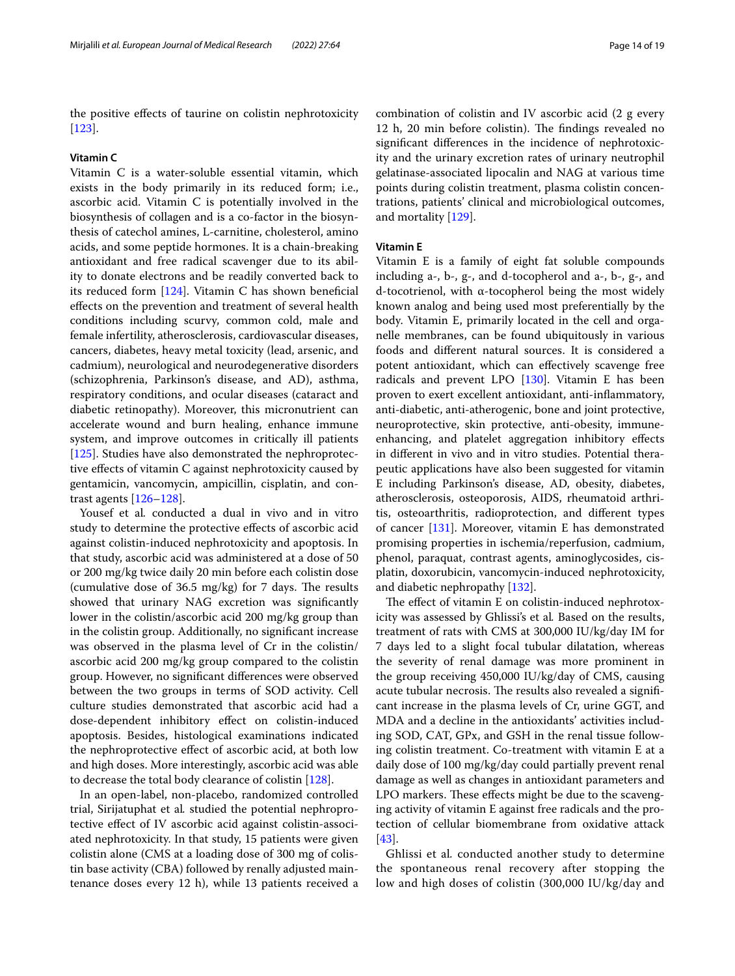the positive efects of taurine on colistin nephrotoxicity [[123\]](#page-17-9).

#### **Vitamin C**

Vitamin C is a water-soluble essential vitamin, which exists in the body primarily in its reduced form; i.e., ascorbic acid. Vitamin C is potentially involved in the biosynthesis of collagen and is a co-factor in the biosynthesis of catechol amines, L-carnitine, cholesterol, amino acids, and some peptide hormones. It is a chain-breaking antioxidant and free radical scavenger due to its ability to donate electrons and be readily converted back to its reduced form  $[124]$  $[124]$ . Vitamin C has shown beneficial efects on the prevention and treatment of several health conditions including scurvy, common cold, male and female infertility, atherosclerosis, cardiovascular diseases, cancers, diabetes, heavy metal toxicity (lead, arsenic, and cadmium), neurological and neurodegenerative disorders (schizophrenia, Parkinson's disease, and AD), asthma, respiratory conditions, and ocular diseases (cataract and diabetic retinopathy). Moreover, this micronutrient can accelerate wound and burn healing, enhance immune system, and improve outcomes in critically ill patients [[125\]](#page-17-39). Studies have also demonstrated the nephroprotective efects of vitamin C against nephrotoxicity caused by gentamicin, vancomycin, ampicillin, cisplatin, and contrast agents [\[126](#page-18-4)–[128\]](#page-18-0).

Yousef et al*.* conducted a dual in vivo and in vitro study to determine the protective efects of ascorbic acid against colistin-induced nephrotoxicity and apoptosis. In that study, ascorbic acid was administered at a dose of 50 or 200 mg/kg twice daily 20 min before each colistin dose (cumulative dose of  $36.5 \text{ mg/kg}$ ) for 7 days. The results showed that urinary NAG excretion was signifcantly lower in the colistin/ascorbic acid 200 mg/kg group than in the colistin group. Additionally, no signifcant increase was observed in the plasma level of Cr in the colistin/ ascorbic acid 200 mg/kg group compared to the colistin group. However, no signifcant diferences were observed between the two groups in terms of SOD activity. Cell culture studies demonstrated that ascorbic acid had a dose-dependent inhibitory efect on colistin-induced apoptosis. Besides, histological examinations indicated the nephroprotective efect of ascorbic acid, at both low and high doses. More interestingly, ascorbic acid was able to decrease the total body clearance of colistin [[128](#page-18-0)].

In an open-label, non-placebo, randomized controlled trial, Sirijatuphat et al*.* studied the potential nephroprotective efect of IV ascorbic acid against colistin-associated nephrotoxicity. In that study, 15 patients were given colistin alone (CMS at a loading dose of 300 mg of colistin base activity (CBA) followed by renally adjusted maintenance doses every 12 h), while 13 patients received a combination of colistin and IV ascorbic acid (2 g every 12 h, 20 min before colistin). The findings revealed no signifcant diferences in the incidence of nephrotoxicity and the urinary excretion rates of urinary neutrophil gelatinase-associated lipocalin and NAG at various time points during colistin treatment, plasma colistin concentrations, patients' clinical and microbiological outcomes, and mortality [[129](#page-18-1)].

# **Vitamin E**

Vitamin E is a family of eight fat soluble compounds including a-, b-, g-, and d-tocopherol and a-, b-, g-, and d-tocotrienol, with α-tocopherol being the most widely known analog and being used most preferentially by the body. Vitamin E, primarily located in the cell and organelle membranes, can be found ubiquitously in various foods and diferent natural sources. It is considered a potent antioxidant, which can efectively scavenge free radicals and prevent LPO [[130](#page-18-5)]. Vitamin E has been proven to exert excellent antioxidant, anti-infammatory, anti-diabetic, anti-atherogenic, bone and joint protective, neuroprotective, skin protective, anti-obesity, immuneenhancing, and platelet aggregation inhibitory efects in diferent in vivo and in vitro studies. Potential therapeutic applications have also been suggested for vitamin E including Parkinson's disease, AD, obesity, diabetes, atherosclerosis, osteoporosis, AIDS, rheumatoid arthritis, osteoarthritis, radioprotection, and diferent types of cancer [\[131](#page-18-6)]. Moreover, vitamin E has demonstrated promising properties in ischemia/reperfusion, cadmium, phenol, paraquat, contrast agents, aminoglycosides, cisplatin, doxorubicin, vancomycin-induced nephrotoxicity, and diabetic nephropathy [[132](#page-18-7)].

The effect of vitamin E on colistin-induced nephrotoxicity was assessed by Ghlissi's et al*.* Based on the results, treatment of rats with CMS at 300,000 IU/kg/day IM for 7 days led to a slight focal tubular dilatation, whereas the severity of renal damage was more prominent in the group receiving 450,000 IU/kg/day of CMS, causing acute tubular necrosis. The results also revealed a significant increase in the plasma levels of Cr, urine GGT, and MDA and a decline in the antioxidants' activities including SOD, CAT, GPx, and GSH in the renal tissue following colistin treatment. Co-treatment with vitamin E at a daily dose of 100 mg/kg/day could partially prevent renal damage as well as changes in antioxidant parameters and LPO markers. These effects might be due to the scavenging activity of vitamin E against free radicals and the protection of cellular biomembrane from oxidative attack [[43\]](#page-16-0).

Ghlissi et al*.* conducted another study to determine the spontaneous renal recovery after stopping the low and high doses of colistin (300,000 IU/kg/day and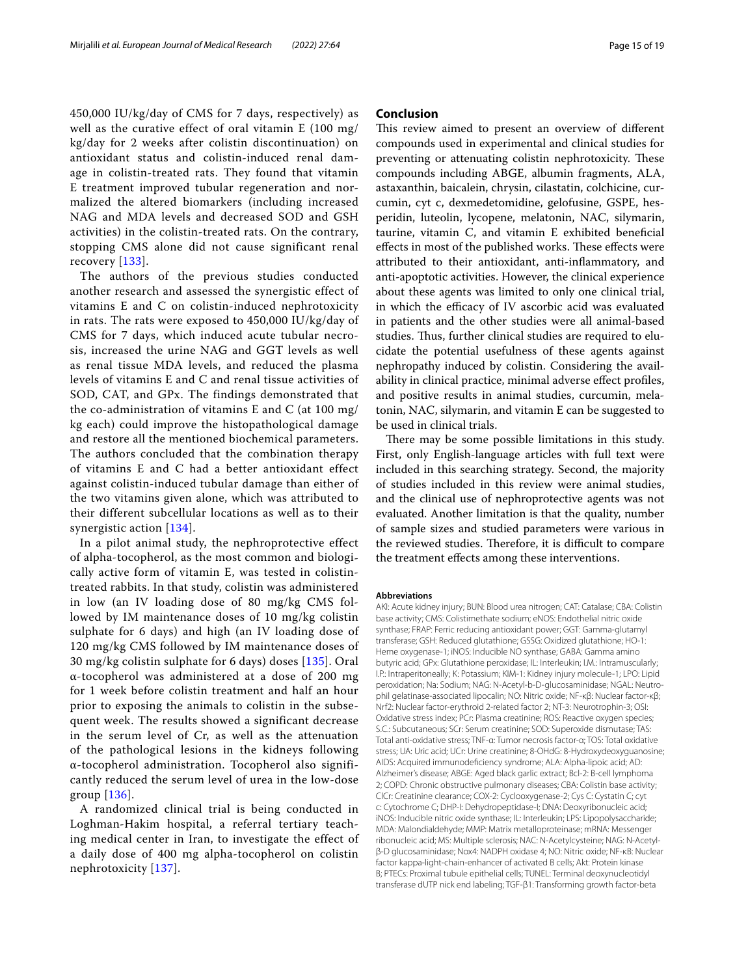450,000 IU/kg/day of CMS for 7 days, respectively) as well as the curative effect of oral vitamin E (100 mg/ kg/day for 2 weeks after colistin discontinuation) on antioxidant status and colistin-induced renal damage in colistin-treated rats. They found that vitamin E treatment improved tubular regeneration and normalized the altered biomarkers (including increased NAG and MDA levels and decreased SOD and GSH activities) in the colistin-treated rats. On the contrary, stopping CMS alone did not cause significant renal recovery [[133\]](#page-18-2).

The authors of the previous studies conducted another research and assessed the synergistic effect of vitamins E and C on colistin-induced nephrotoxicity in rats. The rats were exposed to 450,000 IU/kg/day of CMS for 7 days, which induced acute tubular necrosis, increased the urine NAG and GGT levels as well as renal tissue MDA levels, and reduced the plasma levels of vitamins E and C and renal tissue activities of SOD, CAT, and GPx. The findings demonstrated that the co-administration of vitamins E and C (at 100 mg/ kg each) could improve the histopathological damage and restore all the mentioned biochemical parameters. The authors concluded that the combination therapy of vitamins E and C had a better antioxidant effect against colistin-induced tubular damage than either of the two vitamins given alone, which was attributed to their different subcellular locations as well as to their synergistic action [\[134\]](#page-18-3).

In a pilot animal study, the nephroprotective effect of alpha-tocopherol, as the most common and biologically active form of vitamin E, was tested in colistintreated rabbits. In that study, colistin was administered in low (an IV loading dose of 80 mg/kg CMS followed by IM maintenance doses of 10 mg/kg colistin sulphate for 6 days) and high (an IV loading dose of 120 mg/kg CMS followed by IM maintenance doses of 30 mg/kg colistin sulphate for 6 days) doses [[135](#page-18-8)]. Oral α-tocopherol was administered at a dose of 200 mg for 1 week before colistin treatment and half an hour prior to exposing the animals to colistin in the subsequent week. The results showed a significant decrease in the serum level of Cr, as well as the attenuation of the pathological lesions in the kidneys following α-tocopherol administration. Tocopherol also significantly reduced the serum level of urea in the low-dose group [[136](#page-18-9)].

A randomized clinical trial is being conducted in Loghman-Hakim hospital, a referral tertiary teaching medical center in Iran, to investigate the effect of a daily dose of 400 mg alpha-tocopherol on colistin nephrotoxicity [\[137\]](#page-18-10).

# **Conclusion**

This review aimed to present an overview of different compounds used in experimental and clinical studies for preventing or attenuating colistin nephrotoxicity. These compounds including ABGE, albumin fragments, ALA, astaxanthin, baicalein, chrysin, cilastatin, colchicine, curcumin, cyt c, dexmedetomidine, gelofusine, GSPE, hesperidin, luteolin, lycopene, melatonin, NAC, silymarin, taurine, vitamin C, and vitamin E exhibited benefcial effects in most of the published works. These effects were attributed to their antioxidant, anti-infammatory, and anti-apoptotic activities. However, the clinical experience about these agents was limited to only one clinical trial, in which the efficacy of IV ascorbic acid was evaluated in patients and the other studies were all animal-based studies. Thus, further clinical studies are required to elucidate the potential usefulness of these agents against nephropathy induced by colistin. Considering the availability in clinical practice, minimal adverse efect profles, and positive results in animal studies, curcumin, melatonin, NAC, silymarin, and vitamin E can be suggested to be used in clinical trials.

There may be some possible limitations in this study. First, only English-language articles with full text were included in this searching strategy. Second, the majority of studies included in this review were animal studies, and the clinical use of nephroprotective agents was not evaluated. Another limitation is that the quality, number of sample sizes and studied parameters were various in the reviewed studies. Therefore, it is difficult to compare the treatment efects among these interventions.

#### **Abbreviations**

AKI: Acute kidney injury; BUN: Blood urea nitrogen; CAT: Catalase; CBA: Colistin base activity; CMS: Colistimethate sodium; eNOS: Endothelial nitric oxide synthase; FRAP: Ferric reducing antioxidant power; GGT: Gamma-glutamyl transferase; GSH: Reduced glutathione; GSSG: Oxidized glutathione; HO-1: Heme oxygenase-1; iNOS: Inducible NO synthase; GABA: Gamma amino butyric acid; GPx: Glutathione peroxidase; IL: Interleukin; I.M.: Intramuscularly; I.P.: Intraperitoneally; K: Potassium; KIM-1: Kidney injury molecule-1; LPO: Lipid peroxidation; Na: Sodium; NAG: N-Acetyl-b-D-glucosaminidase; NGAL: Neutrophil gelatinase-associated lipocalin; NO: Nitric oxide; NF-κβ: Nuclear factor-κβ; Nrf2: Nuclear factor-erythroid 2-related factor 2; NT-3: Neurotrophin-3; OSI: Oxidative stress index; PCr: Plasma creatinine; ROS: Reactive oxygen species; S.C.: Subcutaneous; SCr: Serum creatinine; SOD: Superoxide dismutase; TAS: Total anti-oxidative stress; TNF-α: Tumor necrosis factor-α; TOS: Total oxidative stress; UA: Uric acid; UCr: Urine creatinine; 8-OHdG: 8-Hydroxydeoxyguanosine; AIDS: Acquired immunodefciency syndrome; ALA: Alpha-lipoic acid; AD: Alzheimer's disease; ABGE: Aged black garlic extract; Bcl-2: B-cell lymphoma 2; COPD: Chronic obstructive pulmonary diseases; CBA: Colistin base activity; ClCr: Creatinine clearance; COX-2: Cyclooxygenase-2; Cys C: Cystatin C; cyt c: Cytochrome C; DHP-I: Dehydropeptidase-I; DNA: Deoxyribonucleic acid; iNOS: Inducible nitric oxide synthase; IL: Interleukin; LPS: Lipopolysaccharide; MDA: Malondialdehyde; MMP: Matrix metalloproteinase; mRNA: Messenger ribonucleic acid; MS: Multiple sclerosis; NAC: N-Acetylcysteine; NAG: N-Acetylβ-D glucosaminidase; Nox4: NADPH oxidase 4; NO: Nitric oxide; NF-κB: Nuclear factor kappa-light-chain-enhancer of activated B cells; Akt: Protein kinase B; PTECs: Proximal tubule epithelial cells; TUNEL: Terminal deoxynucleotidyl transferase dUTP nick end labeling; TGF-β1: Transforming growth factor-beta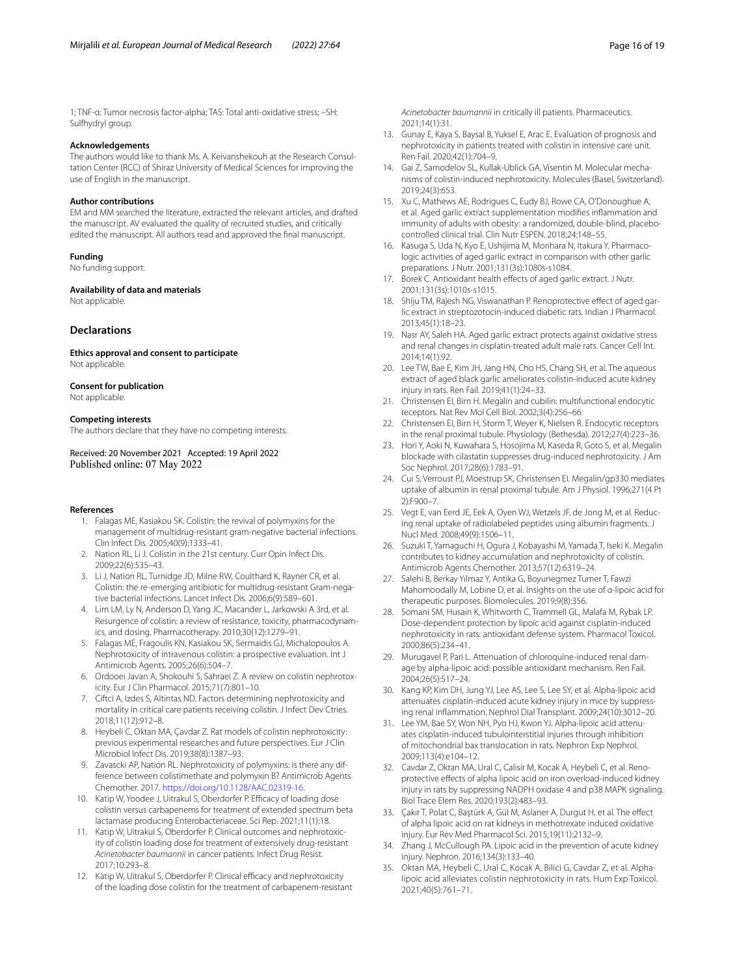1; TNF-α: Tumor necrosis factor-alpha; TAS: Total anti-oxidative stress; –SH: Sulfhydryl group.

#### **Acknowledgements**

The authors would like to thank Ms. A. Keivanshekouh at the Research Consultation Center (RCC) of Shiraz University of Medical Sciences for improving the use of English in the manuscript.

#### **Author contributions**

EM and MM searched the literature, extracted the relevant articles, and drafted the manuscript. AV evaluated the quality of recruited studies, and critically edited the manuscript. All authors read and approved the fnal manuscript.

#### **Funding**

No funding support.

#### **Availability of data and materials**

Not applicable.

#### **Declarations**

**Ethics approval and consent to participate** Not applicable.

#### **Consent for publication**

Not applicable.

#### **Competing interests**

The authors declare that they have no competing interests.

Received: 20 November 2021 Accepted: 19 April 2022 Published online: 07 May 2022

#### <span id="page-15-0"></span>**References**

- 1. Falagas ME, Kasiakou SK. Colistin: the revival of polymyxins for the management of multidrug-resistant gram-negative bacterial infections. Clin Infect Dis. 2005;40(9):1333–41.
- <span id="page-15-1"></span>2. Nation RL, Li J. Colistin in the 21st century. Curr Opin Infect Dis. 2009;22(6):535–43.
- <span id="page-15-2"></span>3. Li J, Nation RL, Turnidge JD, Milne RW, Coulthard K, Rayner CR, et al. Colistin: the re-emerging antibiotic for multidrug-resistant Gram-negative bacterial infections. Lancet Infect Dis. 2006;6(9):589–601.
- <span id="page-15-3"></span>4. Lim LM, Ly N, Anderson D, Yang JC, Macander L, Jarkowski A 3rd, et al. Resurgence of colistin: a review of resistance, toxicity, pharmacodynamics, and dosing. Pharmacotherapy. 2010;30(12):1279–91.
- <span id="page-15-4"></span>5. Falagas ME, Fragoulis KN, Kasiakou SK, Sermaidis GJ, Michalopoulos A. Nephrotoxicity of intravenous colistin: a prospective evaluation. Int J Antimicrob Agents. 2005;26(6):504–7.
- <span id="page-15-5"></span>6. Ordooei Javan A, Shokouhi S, Sahraei Z. A review on colistin nephrotoxicity. Eur J Clin Pharmacol. 2015;71(7):801–10.
- <span id="page-15-6"></span>7. Ciftci A, Izdes S, Altintas ND. Factors determining nephrotoxicity and mortality in critical care patients receiving colistin. J Infect Dev Ctries. 2018;11(12):912–8.
- <span id="page-15-7"></span>8. Heybeli C, Oktan MA, Çavdar Z. Rat models of colistin nephrotoxicity: previous experimental researches and future perspectives. Eur J Clin Microbiol Infect Dis. 2019;38(8):1387–93.
- <span id="page-15-8"></span>9. Zavascki AP, Nation RL. Nephrotoxicity of polymyxins: is there any difference between colistimethate and polymyxin B? Antimicrob Agents Chemother. 2017. [https://doi.org/10.1128/AAC.02319-16.](https://doi.org/10.1128/AAC.02319-16)
- <span id="page-15-9"></span>10. Katip W, Yoodee J, Uitrakul S, Oberdorfer P. Efficacy of loading dose colistin versus carbapenems for treatment of extended spectrum beta lactamase producing Enterobacteriaceae. Sci Rep. 2021;11(1):18.
- 11. Katip W, Uitrakul S, Oberdorfer P. Clinical outcomes and nephrotoxicity of colistin loading dose for treatment of extensively drug-resistant *Acinetobacter baumannii* in cancer patients. Infect Drug Resist. 2017;10:293–8.
- <span id="page-15-10"></span>12. Katip W, Uitrakul S, Oberdorfer P. Clinical efficacy and nephrotoxicity of the loading dose colistin for the treatment of carbapenem-resistant

*Acinetobacter baumannii* in critically ill patients. Pharmaceutics. 2021;14(1):31.

- <span id="page-15-11"></span>13. Gunay E, Kaya S, Baysal B, Yuksel E, Arac E. Evaluation of prognosis and nephrotoxicity in patients treated with colistin in intensive care unit. Ren Fail. 2020;42(1):704–9.
- <span id="page-15-12"></span>14. Gai Z, Samodelov SL, Kullak-Ublick GA, Visentin M. Molecular mechanisms of colistin-induced nephrotoxicity. Molecules (Basel, Switzerland). 2019;24(3):653.
- <span id="page-15-13"></span>15. Xu C, Mathews AE, Rodrigues C, Eudy BJ, Rowe CA, O'Donoughue A, et al. Aged garlic extract supplementation modifes infammation and immunity of adults with obesity: a randomized, double-blind, placebocontrolled clinical trial. Clin Nutr ESPEN. 2018;24:148–55.
- <span id="page-15-14"></span>16. Kasuga S, Uda N, Kyo E, Ushijima M, Morihara N, Itakura Y. Pharmacologic activities of aged garlic extract in comparison with other garlic preparations. J Nutr. 2001;131(3s):1080s-s1084.
- <span id="page-15-15"></span>17. Borek C. Antioxidant health effects of aged garlic extract. J Nutr. 2001;131(3s):1010s-s1015.
- <span id="page-15-16"></span>18. Shiju TM, Rajesh NG, Viswanathan P. Renoprotective effect of aged garlic extract in streptozotocin-induced diabetic rats. Indian J Pharmacol. 2013;45(1):18–23.
- <span id="page-15-17"></span>19. Nasr AY, Saleh HA. Aged garlic extract protects against oxidative stress and renal changes in cisplatin-treated adult male rats. Cancer Cell Int. 2014;14(1):92.
- <span id="page-15-18"></span>20. Lee TW, Bae E, Kim JH, Jang HN, Cho HS, Chang SH, et al. The aqueous extract of aged black garlic ameliorates colistin-induced acute kidney injury in rats. Ren Fail. 2019;41(1):24–33.
- <span id="page-15-22"></span>21. Christensen EI, Birn H. Megalin and cubilin: multifunctional endocytic receptors. Nat Rev Mol Cell Biol. 2002;3(4):256–66.
- <span id="page-15-23"></span>22. Christensen EI, Birn H, Storm T, Weyer K, Nielsen R. Endocytic receptors in the renal proximal tubule. Physiology (Bethesda). 2012;27(4):223–36.
- <span id="page-15-21"></span>23. Hori Y, Aoki N, Kuwahara S, Hosojima M, Kaseda R, Goto S, et al. Megalin blockade with cilastatin suppresses drug-induced nephrotoxicity. J Am Soc Nephrol. 2017;28(6):1783–91.
- <span id="page-15-24"></span>24. Cui S, Verroust PJ, Moestrup SK, Christensen EI. Megalin/gp330 mediates uptake of albumin in renal proximal tubule. Am J Physiol. 1996;271(4 Pt 2):F900–7.
- <span id="page-15-25"></span>25. Vegt E, van Eerd JE, Eek A, Oyen WJ, Wetzels JF, de Jong M, et al. Reducing renal uptake of radiolabeled peptides using albumin fragments. J Nucl Med. 2008;49(9):1506–11.
- <span id="page-15-19"></span>26. Suzuki T, Yamaguchi H, Ogura J, Kobayashi M, Yamada T, Iseki K. Megalin contributes to kidney accumulation and nephrotoxicity of colistin. Antimicrob Agents Chemother. 2013;57(12):6319–24.
- <span id="page-15-26"></span>27. Salehi B, Berkay Yılmaz Y, Antika G, Boyunegmez Tumer T, Fawzi Mahomoodally M, Lobine D, et al. Insights on the use of α-lipoic acid for therapeutic purposes. Biomolecules. 2019;9(8):356.
- <span id="page-15-27"></span>28. Somani SM, Husain K, Whitworth C, Trammell GL, Malafa M, Rybak LP. Dose-dependent protection by lipoic acid against cisplatin-induced nephrotoxicity in rats: antioxidant defense system. Pharmacol Toxicol. 2000;86(5):234–41.
- 29. Murugavel P, Pari L. Attenuation of chloroquine-induced renal damage by alpha-lipoic acid: possible antioxidant mechanism. Ren Fail. 2004;26(5):517–24.
- 30. Kang KP, Kim DH, Jung YJ, Lee AS, Lee S, Lee SY, et al. Alpha-lipoic acid attenuates cisplatin-induced acute kidney injury in mice by suppressing renal infammation. Nephrol Dial Transplant. 2009;24(10):3012–20.
- 31. Lee YM, Bae SY, Won NH, Pyo HJ, Kwon YJ. Alpha-lipoic acid attenuates cisplatin-induced tubulointerstitial injuries through inhibition of mitochondrial bax translocation in rats. Nephron Exp Nephrol. 2009;113(4):e104–12.
- 32. Cavdar Z, Oktan MA, Ural C, Calisir M, Kocak A, Heybeli C, et al. Renoprotective efects of alpha lipoic acid on iron overload-induced kidney injury in rats by suppressing NADPH oxidase 4 and p38 MAPK signaling. Biol Trace Elem Res. 2020;193(2):483–93.
- <span id="page-15-28"></span>33. Çakır T, Polat C, Baştürk A, Gül M, Aslaner A, Durgut H, et al. The efect of alpha lipoic acid on rat kidneys in methotrexate induced oxidative injury. Eur Rev Med Pharmacol Sci. 2015;19(11):2132–9.
- <span id="page-15-29"></span>34. Zhang J, McCullough PA. Lipoic acid in the prevention of acute kidney injury. Nephron. 2016;134(3):133–40.
- <span id="page-15-20"></span>35. Oktan MA, Heybeli C, Ural C, Kocak A, Bilici G, Cavdar Z, et al. Alphalipoic acid alleviates colistin nephrotoxicity in rats. Hum Exp Toxicol. 2021;40(5):761–71.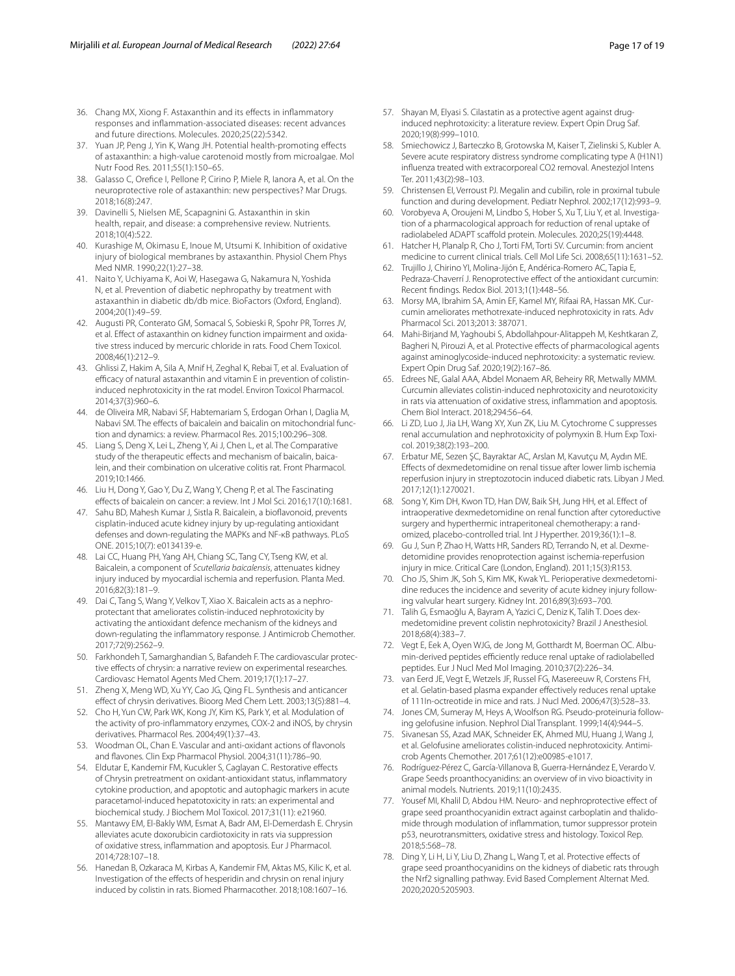- <span id="page-16-6"></span>36. Chang MX, Xiong F. Astaxanthin and its efects in infammatory responses and infammation-associated diseases: recent advances and future directions. Molecules. 2020;25(22):5342.
- <span id="page-16-7"></span>37. Yuan JP, Peng J, Yin K, Wang JH. Potential health-promoting efects of astaxanthin: a high-value carotenoid mostly from microalgae. Mol Nutr Food Res. 2011;55(1):150–65.
- 38. Galasso C, Orefce I, Pellone P, Cirino P, Miele R, Ianora A, et al. On the neuroprotective role of astaxanthin: new perspectives? Mar Drugs. 2018;16(8):247.
- <span id="page-16-8"></span>39. Davinelli S, Nielsen ME, Scapagnini G. Astaxanthin in skin health, repair, and disease: a comprehensive review. Nutrients. 2018;10(4):522.
- <span id="page-16-9"></span>40. Kurashige M, Okimasu E, Inoue M, Utsumi K. Inhibition of oxidative injury of biological membranes by astaxanthin. Physiol Chem Phys Med NMR. 1990;22(1):27–38.
- <span id="page-16-10"></span>41. Naito Y, Uchiyama K, Aoi W, Hasegawa G, Nakamura N, Yoshida N, et al. Prevention of diabetic nephropathy by treatment with astaxanthin in diabetic db/db mice. BioFactors (Oxford, England). 2004;20(1):49–59.
- <span id="page-16-11"></span>42. Augusti PR, Conterato GM, Somacal S, Sobieski R, Spohr PR, Torres JV, et al. Efect of astaxanthin on kidney function impairment and oxidative stress induced by mercuric chloride in rats. Food Chem Toxicol. 2008;46(1):212–9.
- <span id="page-16-0"></span>43. Ghlissi Z, Hakim A, Sila A, Mnif H, Zeghal K, Rebai T, et al. Evaluation of efficacy of natural astaxanthin and vitamin E in prevention of colistininduced nephrotoxicity in the rat model. Environ Toxicol Pharmacol. 2014;37(3):960–6.
- <span id="page-16-12"></span>44. de Oliveira MR, Nabavi SF, Habtemariam S, Erdogan Orhan I, Daglia M, Nabavi SM. The effects of baicalein and baicalin on mitochondrial function and dynamics: a review. Pharmacol Res. 2015;100:296–308.
- <span id="page-16-13"></span>45. Liang S, Deng X, Lei L, Zheng Y, Ai J, Chen L, et al. The Comparative study of the therapeutic efects and mechanism of baicalin, baicalein, and their combination on ulcerative colitis rat. Front Pharmacol. 2019;10:1466.
- 46. Liu H, Dong Y, Gao Y, Du Z, Wang Y, Cheng P, et al. The Fascinating efects of baicalein on cancer: a review. Int J Mol Sci. 2016;17(10):1681.
- <span id="page-16-14"></span>47. Sahu BD, Mahesh Kumar J, Sistla R. Baicalein, a bioflavonoid, prevents cisplatin-induced acute kidney injury by up-regulating antioxidant defenses and down-regulating the MAPKs and NF-κB pathways. PLoS ONE. 2015;10(7): e0134139-e.
- <span id="page-16-15"></span>48. Lai CC, Huang PH, Yang AH, Chiang SC, Tang CY, Tseng KW, et al. Baicalein, a component of *Scutellaria baicalensis*, attenuates kidney injury induced by myocardial ischemia and reperfusion. Planta Med. 2016;82(3):181–9.
- <span id="page-16-1"></span>49. Dai C, Tang S, Wang Y, Velkov T, Xiao X. Baicalein acts as a nephroprotectant that ameliorates colistin-induced nephrotoxicity by activating the antioxidant defence mechanism of the kidneys and down-regulating the infammatory response. J Antimicrob Chemother. 2017;72(9):2562–9.
- <span id="page-16-16"></span>50. Farkhondeh T, Samarghandian S, Bafandeh F. The cardiovascular protective effects of chrysin: a narrative review on experimental researches. Cardiovasc Hematol Agents Med Chem. 2019;17(1):17–27.
- <span id="page-16-17"></span>51. Zheng X, Meng WD, Xu YY, Cao JG, Qing FL. Synthesis and anticancer efect of chrysin derivatives. Bioorg Med Chem Lett. 2003;13(5):881–4.
- 52. Cho H, Yun CW, Park WK, Kong JY, Kim KS, Park Y, et al. Modulation of the activity of pro-infammatory enzymes, COX-2 and iNOS, by chrysin derivatives. Pharmacol Res. 2004;49(1):37–43.
- <span id="page-16-18"></span>53. Woodman OL, Chan E. Vascular and anti-oxidant actions of favonols and favones. Clin Exp Pharmacol Physiol. 2004;31(11):786–90.
- <span id="page-16-19"></span>54. Eldutar E, Kandemir FM, Kucukler S, Caglayan C. Restorative effects of Chrysin pretreatment on oxidant-antioxidant status, infammatory cytokine production, and apoptotic and autophagic markers in acute paracetamol-induced hepatotoxicity in rats: an experimental and biochemical study. J Biochem Mol Toxicol. 2017;31(11): e21960.
- <span id="page-16-20"></span>55. Mantawy EM, El-Bakly WM, Esmat A, Badr AM, El-Demerdash E. Chrysin alleviates acute doxorubicin cardiotoxicity in rats via suppression of oxidative stress, infammation and apoptosis. Eur J Pharmacol. 2014;728:107–18.
- <span id="page-16-2"></span>56. Hanedan B, Ozkaraca M, Kirbas A, Kandemir FM, Aktas MS, Kilic K, et al. Investigation of the efects of hesperidin and chrysin on renal injury induced by colistin in rats. Biomed Pharmacother. 2018;108:1607–16.
- <span id="page-16-21"></span>57. Shayan M, Elyasi S. Cilastatin as a protective agent against druginduced nephrotoxicity: a literature review. Expert Opin Drug Saf. 2020;19(8):999–1010.
- <span id="page-16-22"></span>58. Smiechowicz J, Barteczko B, Grotowska M, Kaiser T, Zielinski S, Kubler A. Severe acute respiratory distress syndrome complicating type A (H1N1) infuenza treated with extracorporeal CO2 removal. Anestezjol Intens Ter. 2011;43(2):98–103.
- <span id="page-16-23"></span>59. Christensen EI, Verroust PJ. Megalin and cubilin, role in proximal tubule function and during development. Pediatr Nephrol. 2002;17(12):993–9.
- <span id="page-16-24"></span>60. Vorobyeva A, Oroujeni M, Lindbo S, Hober S, Xu T, Liu Y, et al. Investigation of a pharmacological approach for reduction of renal uptake of radiolabeled ADAPT scafold protein. Molecules. 2020;25(19):4448.
- <span id="page-16-25"></span>61. Hatcher H, Planalp R, Cho J, Torti FM, Torti SV. Curcumin: from ancient medicine to current clinical trials. Cell Mol Life Sci. 2008;65(11):1631–52.
- <span id="page-16-26"></span>62. Trujillo J, Chirino YI, Molina-Jijón E, Andérica-Romero AC, Tapia E, Pedraza-Chaverrí J. Renoprotective effect of the antioxidant curcumin: Recent fndings. Redox Biol. 2013;1(1):448–56.
- 63. Morsy MA, Ibrahim SA, Amin EF, Kamel MY, Rifaai RA, Hassan MK. Curcumin ameliorates methotrexate-induced nephrotoxicity in rats. Adv Pharmacol Sci. 2013;2013: 387071.
- <span id="page-16-27"></span>64. Mahi-Birjand M, Yaghoubi S, Abdollahpour-Alitappeh M, Keshtkaran Z, Bagheri N, Pirouzi A, et al. Protective effects of pharmacological agents against aminoglycoside-induced nephrotoxicity: a systematic review. Expert Opin Drug Saf. 2020;19(2):167–86.
- <span id="page-16-3"></span>65. Edrees NE, Galal AAA, Abdel Monaem AR, Beheiry RR, Metwally MMM. Curcumin alleviates colistin-induced nephrotoxicity and neurotoxicity in rats via attenuation of oxidative stress, infammation and apoptosis. Chem Biol Interact. 2018;294:56–64.
- <span id="page-16-28"></span>66. Li ZD, Luo J, Jia LH, Wang XY, Xun ZK, Liu M. Cytochrome C suppresses renal accumulation and nephrotoxicity of polymyxin B. Hum Exp Toxicol. 2019;38(2):193–200.
- <span id="page-16-29"></span>67. Erbatur ME, Sezen ŞC, Bayraktar AC, Arslan M, Kavutçu M, Aydın ME. Efects of dexmedetomidine on renal tissue after lower limb ischemia reperfusion injury in streptozotocin induced diabetic rats. Libyan J Med. 2017;12(1):1270021.
- <span id="page-16-30"></span>68. Song Y, Kim DH, Kwon TD, Han DW, Baik SH, Jung HH, et al. Efect of intraoperative dexmedetomidine on renal function after cytoreductive surgery and hyperthermic intraperitoneal chemotherapy: a randomized, placebo-controlled trial. Int J Hyperther. 2019;36(1):1–8.
- <span id="page-16-31"></span>69. Gu J, Sun P, Zhao H, Watts HR, Sanders RD, Terrando N, et al. Dexmedetomidine provides renoprotection against ischemia-reperfusion injury in mice. Critical Care (London, England). 2011;15(3):R153.
- <span id="page-16-32"></span>70. Cho JS, Shim JK, Soh S, Kim MK, Kwak YL. Perioperative dexmedetomidine reduces the incidence and severity of acute kidney injury following valvular heart surgery. Kidney Int. 2016;89(3):693–700.
- <span id="page-16-4"></span>71. Talih G, Esmaoğlu A, Bayram A, Yazici C, Deniz K, Talih T. Does dexmedetomidine prevent colistin nephrotoxicity? Brazil J Anesthesiol. 2018;68(4):383–7.
- <span id="page-16-33"></span>72. Vegt E, Eek A, Oyen WJG, de Jong M, Gotthardt M, Boerman OC. Albumin-derived peptides efficiently reduce renal uptake of radiolabelled peptides. Eur J Nucl Med Mol Imaging. 2010;37(2):226–34.
- 73. van Eerd JE, Vegt E, Wetzels JF, Russel FG, Masereeuw R, Corstens FH, et al. Gelatin-based plasma expander efectively reduces renal uptake of 111In-octreotide in mice and rats. J Nucl Med. 2006;47(3):528–33.
- <span id="page-16-34"></span>74. Jones CM, Sumeray M, Heys A, Woolfson RG. Pseudo-proteinuria following gelofusine infusion. Nephrol Dial Transplant. 1999;14(4):944–5.
- <span id="page-16-5"></span>75. Sivanesan SS, Azad MAK, Schneider EK, Ahmed MU, Huang J, Wang J, et al. Gelofusine ameliorates colistin-induced nephrotoxicity. Antimicrob Agents Chemother. 2017;61(12):e00985-e1017.
- <span id="page-16-35"></span>76. Rodríguez-Pérez C, García-Villanova B, Guerra-Hernández E, Verardo V. Grape Seeds proanthocyanidins: an overview of in vivo bioactivity in animal models. Nutrients. 2019;11(10):2435.
- <span id="page-16-36"></span>77. Yousef MI, Khalil D, Abdou HM. Neuro- and nephroprotective effect of grape seed proanthocyanidin extract against carboplatin and thalidomide through modulation of infammation, tumor suppressor protein p53, neurotransmitters, oxidative stress and histology. Toxicol Rep. 2018;5:568–78.
- 78. Ding Y, Li H, Li Y, Liu D, Zhang L, Wang T, et al. Protective efects of grape seed proanthocyanidins on the kidneys of diabetic rats through the Nrf2 signalling pathway. Evid Based Complement Alternat Med. 2020;2020:5205903.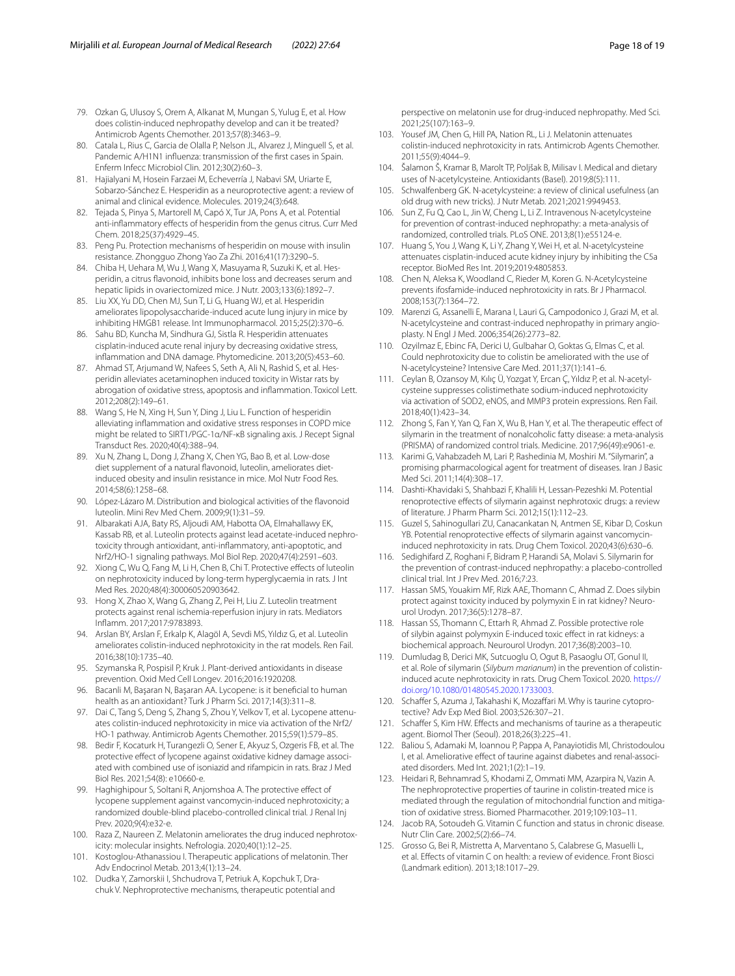- <span id="page-17-0"></span>79. Ozkan G, Ulusoy S, Orem A, Alkanat M, Mungan S, Yulug E, et al. How does colistin-induced nephropathy develop and can it be treated? Antimicrob Agents Chemother. 2013;57(8):3463–9.
- <span id="page-17-10"></span>80. Catala L, Rius C, Garcia de Olalla P, Nelson JL, Alvarez J, Minguell S, et al. Pandemic A/H1N1 influenza: transmission of the first cases in Spain. Enferm Infecc Microbiol Clin. 2012;30(2):60–3.
- <span id="page-17-11"></span>81. Hajialyani M, Hosein Farzaei M, Echeverría J, Nabavi SM, Uriarte E, Sobarzo-Sánchez E. Hesperidin as a neuroprotective agent: a review of animal and clinical evidence. Molecules. 2019;24(3):648.
- 82. Tejada S, Pinya S, Martorell M, Capó X, Tur JA, Pons A, et al. Potential anti-infammatory efects of hesperidin from the genus citrus. Curr Med Chem. 2018;25(37):4929–45.
- 83. Peng Pu. Protection mechanisms of hesperidin on mouse with insulin resistance. Zhongguo Zhong Yao Za Zhi. 2016;41(17):3290–5.
- <span id="page-17-12"></span>84. Chiba H, Uehara M, Wu J, Wang X, Masuyama R, Suzuki K, et al. Hesperidin, a citrus flavonoid, inhibits bone loss and decreases serum and hepatic lipids in ovariectomized mice. J Nutr. 2003;133(6):1892–7.
- <span id="page-17-13"></span>85. Liu XX, Yu DD, Chen MJ, Sun T, Li G, Huang WJ, et al. Hesperidin ameliorates lipopolysaccharide-induced acute lung injury in mice by inhibiting HMGB1 release. Int Immunopharmacol. 2015;25(2):370–6.
- 86. Sahu BD, Kuncha M, Sindhura GJ, Sistla R. Hesperidin attenuates cisplatin-induced acute renal injury by decreasing oxidative stress, infammation and DNA damage. Phytomedicine. 2013;20(5):453–60.
- <span id="page-17-14"></span>87. Ahmad ST, Arjumand W, Nafees S, Seth A, Ali N, Rashid S, et al. Hesperidin alleviates acetaminophen induced toxicity in Wistar rats by abrogation of oxidative stress, apoptosis and infammation. Toxicol Lett. 2012;208(2):149–61.
- <span id="page-17-15"></span>88. Wang S, He N, Xing H, Sun Y, Ding J, Liu L. Function of hesperidin alleviating infammation and oxidative stress responses in COPD mice might be related to SIRT1/PGC-1α/NF-κB signaling axis. J Recept Signal Transduct Res. 2020;40(4):388–94.
- <span id="page-17-16"></span>89. Xu N, Zhang L, Dong J, Zhang X, Chen YG, Bao B, et al. Low-dose diet supplement of a natural favonoid, luteolin, ameliorates dietinduced obesity and insulin resistance in mice. Mol Nutr Food Res. 2014;58(6):1258–68.
- <span id="page-17-17"></span>90. López-Lázaro M. Distribution and biological activities of the favonoid luteolin. Mini Rev Med Chem. 2009;9(1):31–59.
- <span id="page-17-18"></span>91. Albarakati AJA, Baty RS, Aljoudi AM, Habotta OA, Elmahallawy EK, Kassab RB, et al. Luteolin protects against lead acetate-induced nephrotoxicity through antioxidant, anti-infammatory, anti-apoptotic, and Nrf2/HO-1 signaling pathways. Mol Biol Rep. 2020;47(4):2591–603.
- 92. Xiong C, Wu Q, Fang M, Li H, Chen B, Chi T. Protective effects of luteolin on nephrotoxicity induced by long-term hyperglycaemia in rats. J Int Med Res. 2020;48(4):300060520903642.
- <span id="page-17-19"></span>93. Hong X, Zhao X, Wang G, Zhang Z, Pei H, Liu Z. Luteolin treatment protects against renal ischemia-reperfusion injury in rats. Mediators Infamm. 2017;2017:9783893.
- <span id="page-17-1"></span>94. Arslan BY, Arslan F, Erkalp K, Alagöl A, Sevdi MS, Yıldız G, et al. Luteolin ameliorates colistin-induced nephrotoxicity in the rat models. Ren Fail. 2016;38(10):1735–40.
- <span id="page-17-20"></span>95. Szymanska R, Pospisil P, Kruk J. Plant-derived antioxidants in disease prevention. Oxid Med Cell Longev. 2016;2016:1920208.
- <span id="page-17-21"></span>96. Bacanli M, Başaran N, Başaran AA. Lycopene: is it benefcial to human health as an antioxidant? Turk J Pharm Sci. 2017;14(3):311–8.
- <span id="page-17-2"></span>97. Dai C, Tang S, Deng S, Zhang S, Zhou Y, Velkov T, et al. Lycopene attenuates colistin-induced nephrotoxicity in mice via activation of the Nrf2/ HO-1 pathway. Antimicrob Agents Chemother. 2015;59(1):579–85.
- 98. Bedir F, Kocaturk H, Turangezli O, Sener E, Akyuz S, Ozgeris FB, et al. The protective effect of lycopene against oxidative kidney damage associated with combined use of isoniazid and rifampicin in rats. Braz J Med Biol Res. 2021;54(8): e10660-e.
- <span id="page-17-22"></span>Haghighipour S, Soltani R, Anjomshoa A. The protective effect of lycopene supplement against vancomycin-induced nephrotoxicity; a randomized double-blind placebo-controlled clinical trial. J Renal Inj Prev. 2020;9(4):e32-e.
- <span id="page-17-23"></span>100. Raza Z, Naureen Z. Melatonin ameliorates the drug induced nephrotoxicity: molecular insights. Nefrologia. 2020;40(1):12–25.
- <span id="page-17-24"></span>101. Kostoglou-Athanassiou I. Therapeutic applications of melatonin. Ther Adv Endocrinol Metab. 2013;4(1):13–24.
- <span id="page-17-25"></span>102. Dudka Y, Zamorskii I, Shchudrova T, Petriuk A, Kopchuk T, Drachuk V. Nephroprotective mechanisms, therapeutic potential and

perspective on melatonin use for drug-induced nephropathy. Med Sci. 2021;25(107):163–9.

- <span id="page-17-3"></span>103. Yousef JM, Chen G, Hill PA, Nation RL, Li J. Melatonin attenuates colistin-induced nephrotoxicity in rats. Antimicrob Agents Chemother. 2011;55(9):4044–9.
- <span id="page-17-26"></span>104. Šalamon Š, Kramar B, Marolt TP, Poljšak B, Milisav I. Medical and dietary uses of N-acetylcysteine. Antioxidants (Basel). 2019;8(5):111.
- <span id="page-17-27"></span>105. Schwalfenberg GK. N-acetylcysteine: a review of clinical usefulness (an old drug with new tricks). J Nutr Metab. 2021;2021:9949453.
- <span id="page-17-28"></span>106. Sun Z, Fu Q, Cao L, Jin W, Cheng L, Li Z. Intravenous N-acetylcysteine for prevention of contrast-induced nephropathy: a meta-analysis of randomized, controlled trials. PLoS ONE. 2013;8(1):e55124-e.
- <span id="page-17-29"></span>107. Huang S, You J, Wang K, Li Y, Zhang Y, Wei H, et al. N-acetylcysteine attenuates cisplatin-induced acute kidney injury by inhibiting the C5a receptor. BioMed Res Int. 2019;2019:4805853.
- 108. Chen N, Aleksa K, Woodland C, Rieder M, Koren G. N-Acetylcysteine prevents ifosfamide-induced nephrotoxicity in rats. Br J Pharmacol. 2008;153(7):1364–72.
- <span id="page-17-30"></span>109. Marenzi G, Assanelli E, Marana I, Lauri G, Campodonico J, Grazi M, et al. N-acetylcysteine and contrast-induced nephropathy in primary angioplasty. N Engl J Med. 2006;354(26):2773–82.
- <span id="page-17-4"></span>110. Ozyilmaz E, Ebinc FA, Derici U, Gulbahar O, Goktas G, Elmas C, et al. Could nephrotoxicity due to colistin be ameliorated with the use of N-acetylcysteine? Intensive Care Med. 2011;37(1):141–6.
- <span id="page-17-5"></span>111. Ceylan B, Ozansoy M, Kılıç Ü, Yozgat Y, Ercan Ç, Yıldız P, et al. N-acetylcysteine suppresses colistimethate sodium-induced nephrotoxicity via activation of SOD2, eNOS, and MMP3 protein expressions. Ren Fail. 2018;40(1):423–34.
- <span id="page-17-31"></span>112. Zhong S, Fan Y, Yan Q, Fan X, Wu B, Han Y, et al. The therapeutic efect of silymarin in the treatment of nonalcoholic fatty disease: a meta-analysis (PRISMA) of randomized control trials. Medicine. 2017;96(49):e9061-e.
- <span id="page-17-32"></span>113. Karimi G, Vahabzadeh M, Lari P, Rashedinia M, Moshiri M. "Silymarin", a promising pharmacological agent for treatment of diseases. Iran J Basic Med Sci. 2011;14(4):308–17.
- <span id="page-17-33"></span>114. Dashti-Khavidaki S, Shahbazi F, Khalili H, Lessan-Pezeshki M. Potential renoprotective efects of silymarin against nephrotoxic drugs: a review of literature. J Pharm Pharm Sci. 2012;15(1):112–23.
- 115. Guzel S, Sahinogullari ZU, Canacankatan N, Antmen SE, Kibar D, Coskun YB. Potential renoprotective effects of silymarin against vancomycininduced nephrotoxicity in rats. Drug Chem Toxicol. 2020;43(6):630–6.
- <span id="page-17-34"></span>116. Sedighifard Z, Roghani F, Bidram P, Harandi SA, Molavi S. Silymarin for the prevention of contrast-induced nephropathy: a placebo-controlled clinical trial. Int J Prev Med. 2016;7:23.
- <span id="page-17-6"></span>117. Hassan SMS, Youakim MF, Rizk AAE, Thomann C, Ahmad Z. Does silybin protect against toxicity induced by polymyxin E in rat kidney? Neurourol Urodyn. 2017;36(5):1278–87.
- <span id="page-17-7"></span>118. Hassan SS, Thomann C, Ettarh R, Ahmad Z. Possible protective role of silybin against polymyxin E-induced toxic efect in rat kidneys: a biochemical approach. Neurourol Urodyn. 2017;36(8):2003–10.
- <span id="page-17-8"></span>119. Dumludag B, Derici MK, Sutcuoglu O, Ogut B, Pasaoglu OT, Gonul II, et al. Role of silymarin (*Silybum marianum*) in the prevention of colistininduced acute nephrotoxicity in rats. Drug Chem Toxicol. 2020. [https://](https://doi.org/10.1080/01480545.2020.1733003) [doi.org/10.1080/01480545.2020.1733003](https://doi.org/10.1080/01480545.2020.1733003).
- <span id="page-17-35"></span>120. Schaffer S, Azuma J, Takahashi K, Mozaffari M. Why is taurine cytoprotective? Adv Exp Med Biol. 2003;526:307–21.
- <span id="page-17-36"></span>121. Schaffer S, Kim HW. Effects and mechanisms of taurine as a therapeutic agent. Biomol Ther (Seoul). 2018;26(3):225–41.
- <span id="page-17-37"></span>122. Baliou S, Adamaki M, Ioannou P, Pappa A, Panayiotidis MI, Christodoulou I, et al. Ameliorative effect of taurine against diabetes and renal-associated disorders. Med Int. 2021;1(2):1–19.
- <span id="page-17-9"></span>123. Heidari R, Behnamrad S, Khodami Z, Ommati MM, Azarpira N, Vazin A. The nephroprotective properties of taurine in colistin-treated mice is mediated through the regulation of mitochondrial function and mitigation of oxidative stress. Biomed Pharmacother. 2019;109:103–11.
- <span id="page-17-38"></span>124. Jacob RA, Sotoudeh G. Vitamin C function and status in chronic disease. Nutr Clin Care. 2002;5(2):66–74.
- <span id="page-17-39"></span>125. Grosso G, Bei R, Mistretta A, Marventano S, Calabrese G, Masuelli L, et al. Efects of vitamin C on health: a review of evidence. Front Biosci (Landmark edition). 2013;18:1017–29.